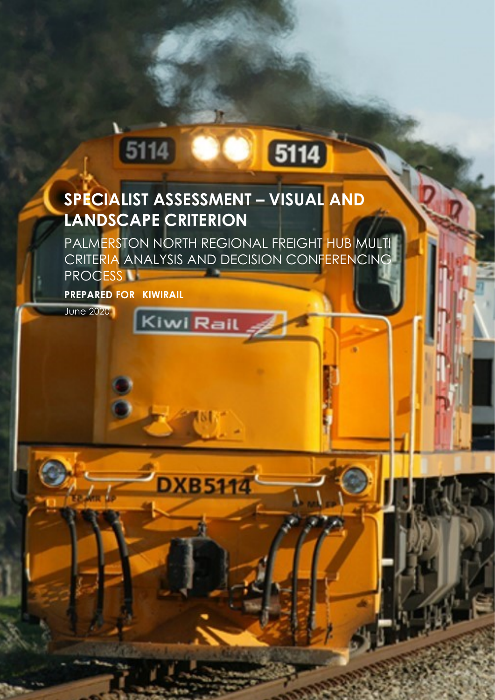### **SPECIALIST ASSESSMENT – VISUAL AND LANDSCAPE CRITERION**

Kiwi Rail

**DXB5114** 

PALMERSTON NORTH REGIONAL FREIGHT HUB MULTI CRITERIA ANALYSIS AND DECISION CONFERENCING PROCESS<sup>IT</sup>

5114

**PREPARED FOR KIWIRAIL**

511

June 2020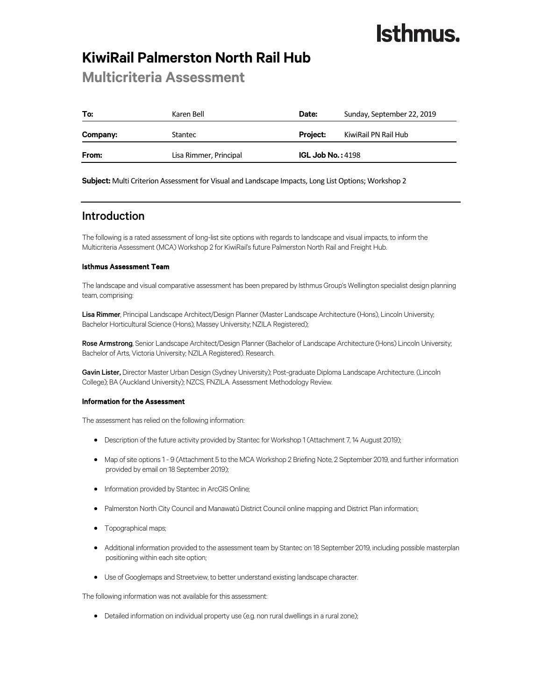### **KiwiRail Palmerston North Rail Hub**

### **Multicriteria Assessment**

| To:      | Karen Bell             | Date:               | Sunday, September 22, 2019 |
|----------|------------------------|---------------------|----------------------------|
| Company: | Stantec                | <b>Project:</b>     | KiwiRail PN Rail Hub       |
| From:    | Lisa Rimmer, Principal | IGL Job No.: $4198$ |                            |

**Subject:** Multi Criterion Assessment for Visual and Landscape Impacts, Long List Options; Workshop 2

### Introduction

The following is a rated assessment of long-list site options with regards to landscape and visual impacts, to inform the Multicriteria Assessment (MCA) Workshop 2 for KiwiRail's future Palmerston North Rail and Freight Hub.

#### Isthmus Assessment Team

The landscape and visual comparative assessment has been prepared by Isthmus Group's Wellington specialist design planning team, comprising:

Lisa Rimmer, Principal Landscape Architect/Design Planner (Master Landscape Architecture (Hons), Lincoln University; Bachelor Horticultural Science (Hons), Massey University; NZILA Registered);

Rose Armstrong, Senior Landscape Architect/Design Planner (Bachelor of Landscape Architecture (Hons) Lincoln University; Bachelor of Arts, Victoria University; NZILA Registered). Research.

Gavin Lister, Director Master Urban Design (Sydney University); Post-graduate Diploma Landscape Architecture. (Lincoln College); BA (Auckland University); NZCS, FNZILA. Assessment Methodology Review.

#### Information for the Assessment

The assessment has relied on the following information:

- Description of the future activity provided by Stantec for Workshop 1 (Attachment 7, 14 August 2019);
- Map of site options 1 9 (Attachment 5 to the MCA Workshop 2 Briefing Note, 2 September 2019, and further information provided by email on 18 September 2019);
- Information provided by Stantec in ArcGIS Online;
- Palmerston North City Council and Manawatū District Council online mapping and District Plan information;
- Topographical maps;
- Additional information provided to the assessment team by Stantec on 18 September 2019, including possible masterplan positioning within each site option;
- Use of Googlemaps and Streetview, to better understand existing landscape character.

The following information was not available for this assessment:

Detailed information on individual property use (e.g. non rural dwellings in a rural zone);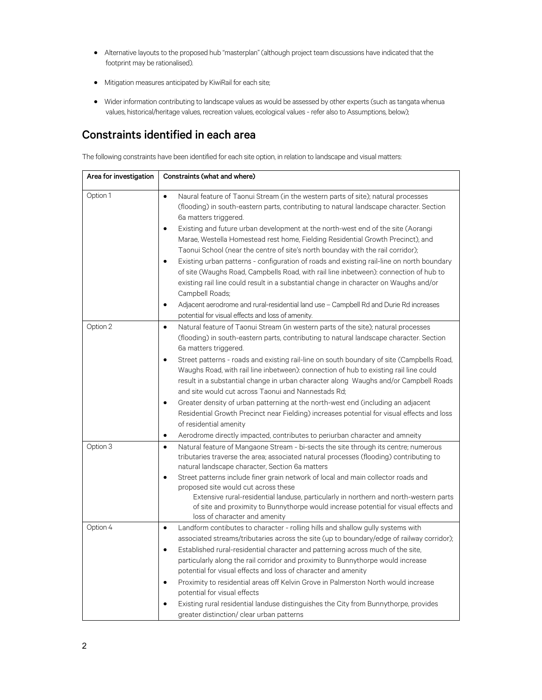- Alternative layouts to the proposed hub "masterplan" (although project team discussions have indicated that the footprint may be rationalised).
- Mitigation measures anticipated by KiwiRail for each site;
- Wider information contributing to landscape values as would be assessed by other experts (such as tangata whenua values, historical/heritage values, recreation values, ecological values - refer also to Assumptions, below);

### Constraints identified in each area

The following constraints have been identified for each site option, in relation to landscape and visual matters:

| Area for investigation | Constraints (what and where)                                                                                                                                                                                                                                                                                                                                                                                                                                                                                                                                                                                                                                                                                                                                                                                                                                                                                                                                         |
|------------------------|----------------------------------------------------------------------------------------------------------------------------------------------------------------------------------------------------------------------------------------------------------------------------------------------------------------------------------------------------------------------------------------------------------------------------------------------------------------------------------------------------------------------------------------------------------------------------------------------------------------------------------------------------------------------------------------------------------------------------------------------------------------------------------------------------------------------------------------------------------------------------------------------------------------------------------------------------------------------|
| Option 1               | $\bullet$<br>Naural feature of Taonui Stream (in the western parts of site); natural processes<br>(flooding) in south-eastern parts, contributing to natural landscape character. Section<br>6a matters triggered.<br>Existing and future urban development at the north-west end of the site (Aorangi<br>$\bullet$<br>Marae, Westella Homestead rest home, Fielding Residential Growth Precinct), and<br>Taonui School (near the centre of site's north bounday with the rail corridor);<br>Existing urban patterns - configuration of roads and existing rail-line on north boundary<br>$\bullet$<br>of site (Waughs Road, Campbells Road, with rail line inbetween): connection of hub to<br>existing rail line could result in a substantial change in character on Waughs and/or<br>Campbell Roads;<br>Adjacent aerodrome and rural-residential land use - Campbell Rd and Durie Rd increases<br>$\bullet$<br>potential for visual effects and loss of amenity. |
| Option 2               | Natural feature of Taonui Stream (in western parts of the site); natural processes<br>$\bullet$<br>(flooding) in south-eastern parts, contributing to natural landscape character. Section<br>6a matters triggered.<br>Street patterns - roads and existing rail-line on south boundary of site (Campbells Road,<br>$\bullet$<br>Waughs Road, with rail line inbetween): connection of hub to existing rail line could<br>result in a substantial change in urban character along Waughs and/or Campbell Roads<br>and site would cut across Taonui and Nannestads Rd;<br>Greater density of urban patterning at the north-west end (including an adjacent<br>$\bullet$<br>Residential Growth Precinct near Fielding) increases potential for visual effects and loss<br>of residential amenity<br>Aerodrome directly impacted, contributes to periurban character and amneity<br>$\bullet$                                                                           |
| Option 3               | Natural feature of Mangaone Stream - bi-sects the site through its centre; numerous<br>$\bullet$<br>tributaries traverse the area; associated natural processes (flooding) contributing to<br>natural landscape character, Section 6a matters<br>Street patterns include finer grain network of local and main collector roads and<br>$\bullet$<br>proposed site would cut across these<br>Extensive rural-residential landuse, particularly in northern and north-western parts<br>of site and proximity to Bunnythorpe would increase potential for visual effects and<br>loss of character and amenity                                                                                                                                                                                                                                                                                                                                                            |
| Option 4               | Landform contibutes to character - rolling hills and shallow gully systems with<br>$\bullet$<br>associated streams/tributaries across the site (up to boundary/edge of railway corridor);<br>Established rural-residential character and patterning across much of the site,<br>$\bullet$<br>particularly along the rail corridor and proximity to Bunnythorpe would increase<br>potential for visual effects and loss of character and amenity<br>Proximity to residential areas off Kelvin Grove in Palmerston North would increase<br>$\bullet$<br>potential for visual effects<br>Existing rural residential landuse distinguishes the City from Bunnythorpe, provides<br>greater distinction/ clear urban patterns                                                                                                                                                                                                                                              |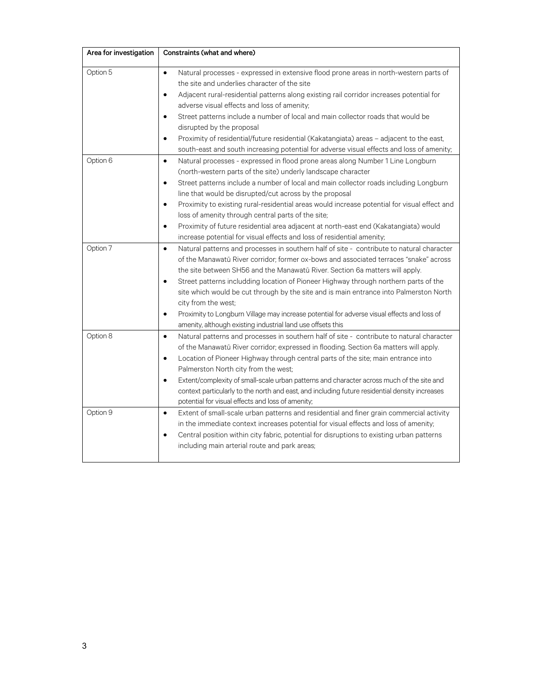| Area for investigation | Constraints (what and where)                                                                                                                                                                                                                                                                                                                                                                                                                                                                                                                                                                                                                                                     |
|------------------------|----------------------------------------------------------------------------------------------------------------------------------------------------------------------------------------------------------------------------------------------------------------------------------------------------------------------------------------------------------------------------------------------------------------------------------------------------------------------------------------------------------------------------------------------------------------------------------------------------------------------------------------------------------------------------------|
| Option 5               | Natural processes - expressed in extensive flood prone areas in north-western parts of<br>$\bullet$<br>the site and underlies character of the site<br>Adjacent rural-residential patterns along existing rail corridor increases potential for<br>$\bullet$<br>adverse visual effects and loss of amenity;<br>Street patterns include a number of local and main collector roads that would be<br>$\bullet$<br>disrupted by the proposal<br>Proximity of residential/future residential (Kakatangiata) areas - adjacent to the east,<br>$\bullet$<br>south-east and south increasing potential for adverse visual effects and loss of amenity;                                  |
| Option 6               | Natural processes - expressed in flood prone areas along Number 1 Line Longburn<br>$\bullet$<br>(north-western parts of the site) underly landscape character<br>Street patterns include a number of local and main collector roads including Longburn<br>$\bullet$<br>line that would be disrupted/cut across by the proposal<br>Proximity to existing rural-residential areas would increase potential for visual effect and<br>$\bullet$<br>loss of amenity through central parts of the site;<br>Proximity of future residential area adjacent at north-east end (Kakatangiata) would<br>$\bullet$<br>increase potential for visual effects and loss of residential amenity; |
| Option 7               | Natural patterns and processes in southern half of site - contribute to natural character<br>$\bullet$<br>of the Manawatū River corridor; former ox-bows and associated terraces "snake" across<br>the site between SH56 and the Manawatū River. Section 6a matters will apply.<br>Street patterns includding location of Pioneer Highway through northern parts of the<br>$\bullet$<br>site which would be cut through by the site and is main entrance into Palmerston North<br>city from the west;<br>Proximity to Longburn Village may increase potential for adverse visual effects and loss of<br>$\bullet$<br>amenity, although existing industrial land use offsets this |
| Option 8               | Natural patterns and processes in southern half of site - contribute to natural character<br>$\bullet$<br>of the Manawatū River corridor; expressed in flooding. Section 6a matters will apply.<br>Location of Pioneer Highway through central parts of the site; main entrance into<br>$\bullet$<br>Palmerston North city from the west;<br>Extent/complexity of small-scale urban patterns and character across much of the site and<br>$\bullet$<br>context particularly to the north and east, and including future residential density increases<br>potential for visual effects and loss of amenity;                                                                       |
| Option 9               | Extent of small-scale urban patterns and residential and finer grain commercial activity<br>$\bullet$<br>in the immediate context increases potential for visual effects and loss of amenity;<br>Central position within city fabric, potential for disruptions to existing urban patterns<br>$\bullet$<br>including main arterial route and park areas;                                                                                                                                                                                                                                                                                                                         |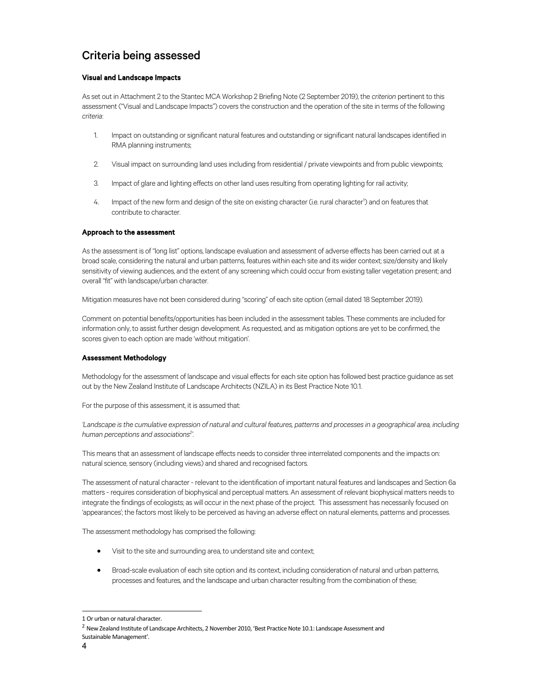### Criteria being assessed

#### Visual and Landscape Impacts

As set out in Attachment 2 to the Stantec MCA Workshop 2 Briefing Note (2 September 2019), the *criterion* pertinent to this assessment ("Visual and Landscape Impacts") covers the construction and the operation of the site in terms of the following *criteria*:

- 1. Impact on outstanding or significant natural features and outstanding or significant natural landscapes identified in RMA planning instruments;
- 2. Visual impact on surrounding land uses including from residential / private viewpoints and from public viewpoints;
- 3. Impact of glare and lighting effects on other land uses resulting from operating lighting for rail activity;
- 4. Impact of the new form and design of the site on existing character (i.e. rural character<sup>1</sup>) and on features that contribute to character.

#### Approach to the assessment

As the assessment is of "long list" options, landscape evaluation and assessment of adverse effects has been carried out at a broad scale, considering the natural and urban patterns, features within each site and its wider context; size/density and likely sensitivity of viewing audiences, and the extent of any screening which could occur from existing taller vegetation present; and overall "fit" with landscape/urban character.

Mitigation measures have not been considered during "scoring" of each site option (email dated 18 September 2019).

Comment on potential benefits/opportunities has been included in the assessment tables. These comments are included for information only, to assist further design development. As requested, and as mitigation options are yet to be confirmed, the scores given to each option are made 'without mitigation'.

#### Assessment Methodology

Methodology for the assessment of landscape and visual effects for each site option has followed best practice guidance as set out by the New Zealand Institute of Landscape Architects (NZILA) in its Best Practice Note 10.1.

For the purpose of this assessment, it is assumed that:

*'Landscape is the cumulative expression of natural and cultural features, patterns and processes in a geographical area, including human perceptions and associations2 '.* 

This means that an assessment of landscape effects needs to consider three interrelated components and the impacts on: natural science, sensory (including views) and shared and recognised factors.

The assessment of natural character - relevant to the identification of important natural features and landscapes and Section 6a matters - requires consideration of biophysical and perceptual matters. An assessment of relevant biophysical matters needs to integrate the findings of ecologists; as will occur in the next phase of the project. This assessment has necessarily focused on 'appearances'; the factors most likely to be perceived as having an adverse effect on natural elements, patterns and processes.

The assessment methodology has comprised the following:

- Visit to the site and surrounding area, to understand site and context;
- Broad-scale evaluation of each site option and its context, including consideration of natural and urban patterns, processes and features, and the landscape and urban character resulting from the combination of these;

<sup>1</sup> Or urban or natural character.

<sup>&</sup>lt;sup>2</sup> New Zealand Institute of Landscape Architects, 2 November 2010, 'Best Practice Note 10.1: Landscape Assessment and Sustainable Management'.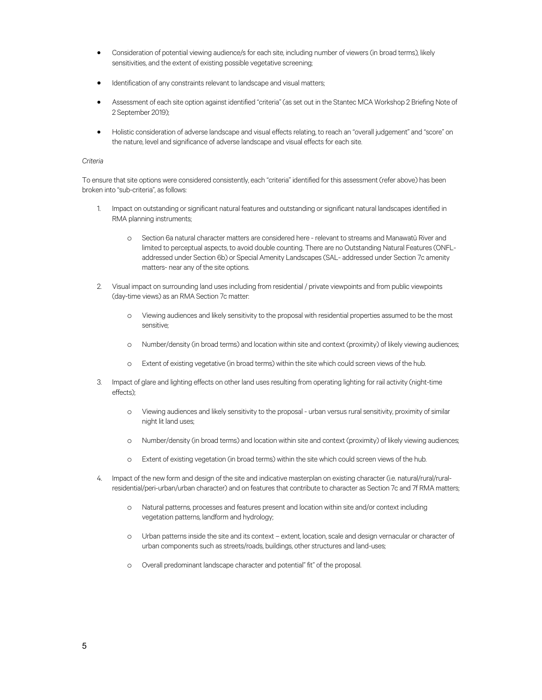- Consideration of potential viewing audience/s for each site, including number of viewers (in broad terms), likely sensitivities, and the extent of existing possible vegetative screening;
- Identification of any constraints relevant to landscape and visual matters;
- Assessment of each site option against identified "criteria" (as set out in the Stantec MCA Workshop 2 Briefing Note of 2 September 2019);
- Holistic consideration of adverse landscape and visual effects relating, to reach an "overall judgement" and "score" on the nature, level and significance of adverse landscape and visual effects for each site.

#### *Criteria*

To ensure that site options were considered consistently, each "criteria" identified for this assessment (refer above) has been broken into "sub-criteria", as follows:

- 1. Impact on outstanding or significant natural features and outstanding or significant natural landscapes identified in RMA planning instruments;
	- o Section 6a natural character matters are considered here relevant to streams and Manawatū River and limited to perceptual aspects, to avoid double counting. There are no Outstanding Natural Features (ONFLaddressed under Section 6b) or Special Amenity Landscapes (SAL- addressed under Section 7c amenity matters- near any of the site options.
- 2. Visual impact on surrounding land uses including from residential / private viewpoints and from public viewpoints (day-time views) as an RMA Section 7c matter:
	- o Viewing audiences and likely sensitivity to the proposal with residential properties assumed to be the most sensitive;
	- o Number/density (in broad terms) and location within site and context (proximity) of likely viewing audiences;
	- o Extent of existing vegetative (in broad terms) within the site which could screen views of the hub.
- 3. Impact of glare and lighting effects on other land uses resulting from operating lighting for rail activity (night-time effects);
	- o Viewing audiences and likely sensitivity to the proposal urban versus rural sensitivity, proximity of similar night lit land uses;
	- o Number/density (in broad terms) and location within site and context (proximity) of likely viewing audiences;
	- o Extent of existing vegetation (in broad terms) within the site which could screen views of the hub.
- 4. Impact of the new form and design of the site and indicative masterplan on existing character (i.e. natural/rural/ruralresidential/peri-urban/urban character) and on features that contribute to character as Section 7c and 7f RMA matters;
	- o Natural patterns, processes and features present and location within site and/or context including vegetation patterns, landform and hydrology;
	- o Urban patterns inside the site and its context extent, location, scale and design vernacular or character of urban components such as streets/roads, buildings, other structures and land-uses;
	- o Overall predominant landscape character and potential" fit" of the proposal.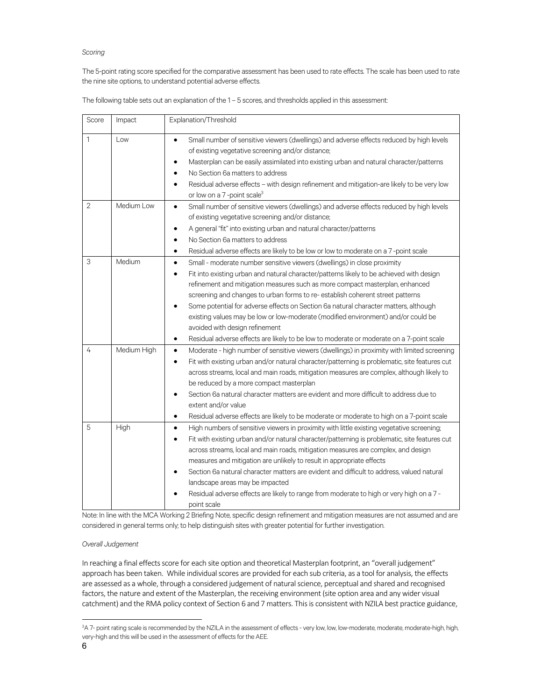#### *Scoring*

The 5-point rating score specified for the comparative assessment has been used to rate effects. The scale has been used to rate the nine site options, to understand potential adverse effects.

The following table sets out an explanation of the 1 – 5 scores, and thresholds applied in this assessment:

| Score          | Impact      | Explanation/Threshold                                                                                                                                                                                                                                                                                                                                                                                                                                                                                                                                                                                                                                                                                |
|----------------|-------------|------------------------------------------------------------------------------------------------------------------------------------------------------------------------------------------------------------------------------------------------------------------------------------------------------------------------------------------------------------------------------------------------------------------------------------------------------------------------------------------------------------------------------------------------------------------------------------------------------------------------------------------------------------------------------------------------------|
| $\mathbf{1}$   | Low         | Small number of sensitive viewers (dwellings) and adverse effects reduced by high levels<br>$\bullet$<br>of existing vegetative screening and/or distance;<br>Masterplan can be easily assimilated into existing urban and natural character/patterns<br>No Section 6a matters to address<br>Residual adverse effects - with design refinement and mitigation-are likely to be very low<br>or low on a 7-point scale <sup>3</sup>                                                                                                                                                                                                                                                                    |
| $\overline{2}$ | Medium Low  | Small number of sensitive viewers (dwellings) and adverse effects reduced by high levels<br>$\bullet$<br>of existing vegetative screening and/or distance;<br>A general "fit" into existing urban and natural character/patterns<br>$\bullet$<br>No Section 6a matters to address<br>٠<br>Residual adverse effects are likely to be low or low to moderate on a 7-point scale<br>$\bullet$                                                                                                                                                                                                                                                                                                           |
| 3              | Medium      | Small - moderate number sensitive viewers (dwellings) in close proximity<br>$\bullet$<br>Fit into existing urban and natural character/patterns likely to be achieved with design<br>$\bullet$<br>refinement and mitigation measures such as more compact masterplan, enhanced<br>screening and changes to urban forms to re-establish coherent street patterns<br>Some potential for adverse effects on Section 6a natural character matters, although<br>$\bullet$<br>existing values may be low or low-moderate (modified environment) and/or could be<br>avoided with design refinement<br>Residual adverse effects are likely to be low to moderate or moderate on a 7-point scale<br>$\bullet$ |
| 4              | Medium High | Moderate - high number of sensitive viewers (dwellings) in proximity with limited screening<br>$\bullet$<br>Fit with existing urban and/or natural character/patterning is problematic, site features cut<br>$\bullet$<br>across streams, local and main roads, mitigation measures are complex, although likely to<br>be reduced by a more compact masterplan<br>Section 6a natural character matters are evident and more difficult to address due to<br>extent and/or value<br>Residual adverse effects are likely to be moderate or moderate to high on a 7-point scale<br>$\bullet$                                                                                                             |
| 5              | High        | High numbers of sensitive viewers in proximity with little existing vegetative screening;<br>$\bullet$<br>Fit with existing urban and/or natural character/patterning is problematic, site features cut<br>$\bullet$<br>across streams, local and main roads, mitigation measures are complex, and design<br>measures and mitigation are unlikely to result in appropriate effects<br>Section 6a natural character matters are evident and difficult to address, valued natural<br>landscape areas may be impacted<br>Residual adverse effects are likely to range from moderate to high or very high on a 7 -<br>point scale                                                                        |

Note: In line with the MCA Working 2 Briefing Note, specific design refinement and mitigation measures are not assumed and are considered in general terms only; to help distinguish sites with greater potential for further investigation.

#### *Overall Judgement*

In reaching a final effects score for each site option and theoretical Masterplan footprint, an "overall judgement" approach has been taken. While individual scores are provided for each sub criteria, as a tool for analysis, the effects are assessed as a whole, through a considered judgement of naturalscience, perceptual and shared and recognised factors, the nature and extent of the Masterplan, the receiving environment (site option area and anywider visual catchment) and the RMA policy context of Section 6 and 7 matters. This is consistent with NZILA best practice guidance,

<sup>3</sup> A 7- point rating scale is recommended by the NZILA in the assessment of effects - very low, low, low-moderate, moderate, moderate-high, high, very-high and this will be used in the assessment of effects for the AEE.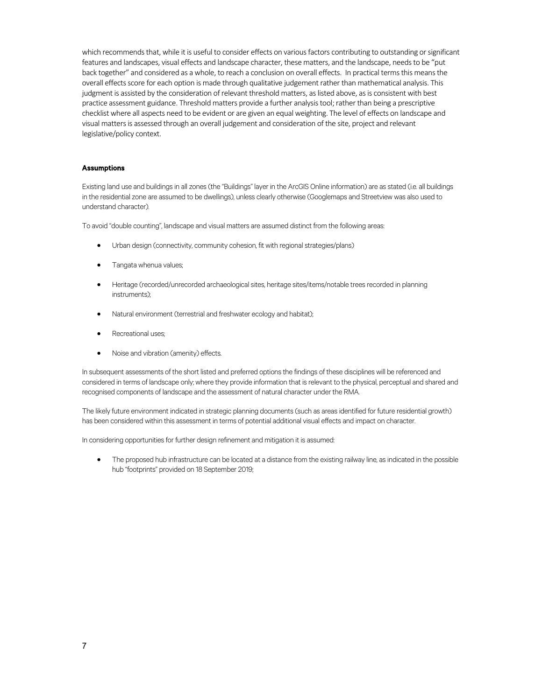which recommends that, while it is useful to consider effects on various factors contributing to outstanding or significant features and landscapes, visual effects and landscape character, these matters, and the landscape, needs to be "put back together" and considered as a whole, to reach a conclusion on overall effects. In practical terms this means the overall effectsscore for each option is made through qualitative judgementrather than mathematical analysis. This judgment is assisted by the consideration of relevant threshold matters, as listed above, as is consistent with best practice assessment guidance. Threshold matters provide a further analysis tool; rather than being a prescriptive checklistwhere all aspects need to be evident or are given an equalweighting. The level of effects on landscape and visual mattersis assessed through an overall judgement and consideration of the site, project and relevant legislative/policy context.

#### Assumptions

Existing land use and buildings in all zones (the "Buildings" layer in the ArcGIS Online information) are as stated (i.e. all buildings in the residential zone are assumed to be dwellings), unless clearly otherwise (Googlemaps and Streetview was also used to understand character).

To avoid "double counting", landscape and visual matters are assumed distinct from the following areas:

- Urban design (connectivity, community cohesion, fit with regional strategies/plans)
- Tangata whenua values;
- Heritage (recorded/unrecorded archaeological sites, heritage sites/items/notable trees recorded in planning instruments);
- Natural environment (terrestrial and freshwater ecology and habitat);
- Recreational uses;
- Noise and vibration (amenity) effects.

In subsequent assessments of the short listed and preferred options the findings of these disciplines will be referenced and considered in terms of landscape only; where they provide information that is relevant to the physical, perceptual and shared and recognised components of landscape and the assessment of natural character under the RMA.

The likely future environment indicated in strategic planning documents (such as areas identified for future residential growth) has been considered within this assessment in terms of potential additional visual effects and impact on character.

In considering opportunities for further design refinement and mitigation it is assumed:

• The proposed hub infrastructure can be located at a distance from the existing railway line, as indicated in the possible hub "footprints" provided on 18 September 2019;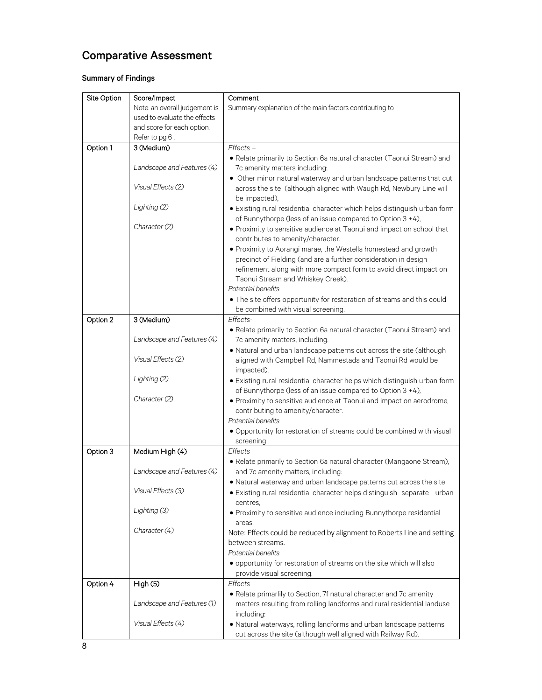### Comparative Assessment

### Summary of Findings

| Site Option | Score/Impact                  | Comment                                                                                                                                 |
|-------------|-------------------------------|-----------------------------------------------------------------------------------------------------------------------------------------|
|             | Note: an overall judgement is | Summary explanation of the main factors contributing to                                                                                 |
|             | used to evaluate the effects  |                                                                                                                                         |
|             | and score for each option.    |                                                                                                                                         |
|             | Refer to pg 6.                |                                                                                                                                         |
| Option 1    | 3 (Medium)                    | $E \nHects -$                                                                                                                           |
|             |                               | • Relate primarily to Section 6a natural character (Taonui Stream) and                                                                  |
|             | Landscape and Features (4)    | 7c amenity matters including:                                                                                                           |
|             |                               | • Other minor natural waterway and urban landscape patterns that cut                                                                    |
|             | Visual Effects (2)            | across the site (although aligned with Waugh Rd, Newbury Line will<br>be impacted),                                                     |
|             | Lighting (2)                  | · Existing rural residential character which helps distinguish urban form<br>of Bunnythorpe (less of an issue compared to Option 3 +4), |
|             | Character (2)                 | • Proximity to sensitive audience at Taonui and impact on school that                                                                   |
|             |                               | contributes to amenity/character.                                                                                                       |
|             |                               | · Proximity to Aorangi marae, the Westella homestead and growth                                                                         |
|             |                               | precinct of Fielding (and are a further consideration in design                                                                         |
|             |                               | refinement along with more compact form to avoid direct impact on                                                                       |
|             |                               | Taonui Stream and Whiskey Creek).                                                                                                       |
|             |                               | Potential benefits                                                                                                                      |
|             |                               | . The site offers opportunity for restoration of streams and this could                                                                 |
|             |                               | be combined with visual screening.                                                                                                      |
| Option 2    | 3 (Medium)                    | Effects-                                                                                                                                |
|             |                               | · Relate primarily to Section 6a natural character (Taonui Stream) and                                                                  |
|             | Landscape and Features (4)    | 7c amenity matters, including:                                                                                                          |
|             | Visual Effects (2)            | . Natural and urban landscape patterns cut across the site (although                                                                    |
|             |                               | aligned with Campbell Rd, Nammestada and Taonui Rd would be                                                                             |
|             | Lighting (2)                  | impacted),                                                                                                                              |
|             |                               | · Existing rural residential character helps which distinguish urban form<br>of Bunnythorpe (less of an issue compared to Option 3 +4), |
|             | Character (2)                 | • Proximity to sensitive audience at Taonui and impact on aerodrome,                                                                    |
|             |                               | contributing to amenity/character.                                                                                                      |
|             |                               | Potential benefits                                                                                                                      |
|             |                               | • Opportunity for restoration of streams could be combined with visual                                                                  |
|             |                               | screening                                                                                                                               |
| Option 3    | Medium High (4)               | Effects                                                                                                                                 |
|             |                               | · Relate primarily to Section 6a natural character (Mangaone Stream),                                                                   |
|             | Landscape and Features (4)    | and 7c amenity matters, including:                                                                                                      |
|             |                               | . Natural waterway and urban landscape patterns cut across the site                                                                     |
|             | Visual Effects (3)            | · Existing rural residential character helps distinguish-separate - urban                                                               |
|             |                               | centres.                                                                                                                                |
|             | Lighting (3)                  | • Proximity to sensitive audience including Bunnythorpe residential                                                                     |
|             |                               | areas.                                                                                                                                  |
|             | Character (4)                 | Note: Effects could be reduced by alignment to Roberts Line and setting                                                                 |
|             |                               | between streams.                                                                                                                        |
|             |                               | Potential benefits                                                                                                                      |
|             |                               | · opportunity for restoration of streams on the site which will also                                                                    |
|             |                               | provide visual screening.                                                                                                               |
| Option 4    | High (5)                      | Effects                                                                                                                                 |
|             |                               | · Relate primarlily to Section, 7f natural character and 7c amenity                                                                     |
|             | Landscape and Features (1)    | matters resulting from rolling landforms and rural residential landuse                                                                  |
|             | Visual Effects (4)            | including:                                                                                                                              |
|             |                               | · Natural waterways, rolling landforms and urban landscape patterns                                                                     |
|             |                               | cut across the site (although well aligned with Railway Rd),                                                                            |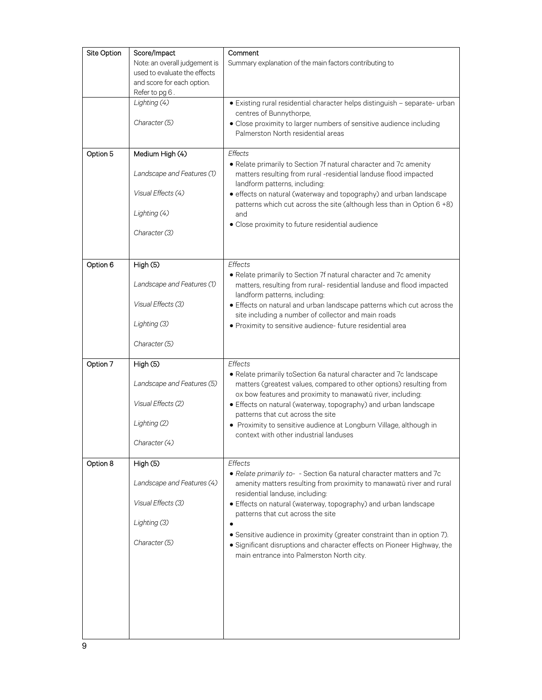| Site Option | Score/Impact<br>Note: an overall judgement is<br>used to evaluate the effects<br>and score for each option.<br>Refer to pg 6. | Comment<br>Summary explanation of the main factors contributing to                                                                                                                                                                                                                                                                                                                                                                                                                                     |
|-------------|-------------------------------------------------------------------------------------------------------------------------------|--------------------------------------------------------------------------------------------------------------------------------------------------------------------------------------------------------------------------------------------------------------------------------------------------------------------------------------------------------------------------------------------------------------------------------------------------------------------------------------------------------|
|             | Lighting (4)<br>Character (5)                                                                                                 | · Existing rural residential character helps distinguish - separate- urban<br>centres of Bunnythorpe,<br>• Close proximity to larger numbers of sensitive audience including<br>Palmerston North residential areas                                                                                                                                                                                                                                                                                     |
| Option 5    | Medium High (4)<br>Landscape and Features (1)<br>Visual Effects (4)<br>Lighting (4)<br>Character (3)                          | Effects<br>• Relate primarily to Section 7f natural character and 7c amenity<br>matters resulting from rural -residential landuse flood impacted<br>landform patterns, including:<br>· effects on natural (waterway and topography) and urban landscape<br>patterns which cut across the site (although less than in Option 6 +8)<br>and<br>· Close proximity to future residential audience                                                                                                           |
| Option 6    | High (5)<br>Landscape and Features (1)<br>Visual Effects (3)<br>Lighting (3)<br>Character (5)                                 | Effects<br>• Relate primarily to Section 7f natural character and 7c amenity<br>matters, resulting from rural- residential landuse and flood impacted<br>landform patterns, including:<br>• Effects on natural and urban landscape patterns which cut across the<br>site including a number of collector and main roads<br>· Proximity to sensitive audience- future residential area                                                                                                                  |
| Option 7    | High(5)<br>Landscape and Features (5)<br>Visual Effects (2)<br>Lighting (2)<br>Character (4)                                  | Effects<br>• Relate primarily toSection 6a natural character and 7c landscape<br>matters (greatest values, compared to other options) resulting from<br>ox bow features and proximity to manawatū river, including:<br>• Effects on natural (waterway, topography) and urban landscape<br>patterns that cut across the site<br>• Proximity to sensitive audience at Longburn Village, although in<br>context with other industrial landuses                                                            |
| Option 8    | High(5)<br>Landscape and Features (4)<br>Visual Effects (3)<br>Lighting (3)<br>Character (5)                                  | Effects<br>· Relate primarily to- - Section 6a natural character matters and 7c<br>amenity matters resulting from proximity to manawatū river and rural<br>residential landuse, including:<br>• Effects on natural (waterway, topography) and urban landscape<br>patterns that cut across the site<br>• Sensitive audience in proximity (greater constraint than in option 7).<br>· Significant disruptions and character effects on Pioneer Highway, the<br>main entrance into Palmerston North city. |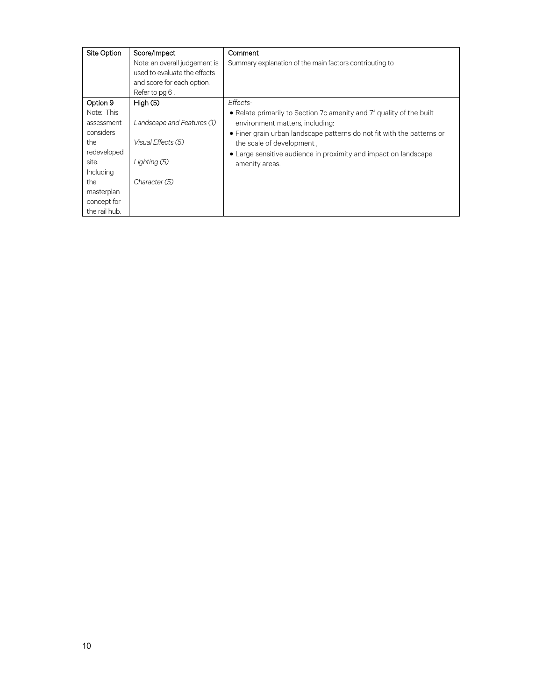| Site Option                                                                                                        | Score/Impact<br>Note: an overall judgement is<br>used to evaluate the effects<br>and score for each option.<br>Refer to pg 6. | Comment<br>Summary explanation of the main factors contributing to                                                                                                                                                                                                                                              |
|--------------------------------------------------------------------------------------------------------------------|-------------------------------------------------------------------------------------------------------------------------------|-----------------------------------------------------------------------------------------------------------------------------------------------------------------------------------------------------------------------------------------------------------------------------------------------------------------|
| Option 9<br>Note: This<br>assessment<br>considers<br>the<br>redeveloped<br>site.<br>Including<br>the<br>masterplan | High $(5)$<br>Landscape and Features (1)<br>Visual Effects (5)<br>Lighting (5)<br>Character (5)                               | Effects-<br>• Relate primarily to Section 7c amenity and 7f quality of the built<br>environment matters, including:<br>• Finer grain urban landscape patterns do not fit with the patterns or<br>the scale of development,<br>• Large sensitive audience in proximity and impact on landscape<br>amenity areas. |
| concept for<br>the rail hub.                                                                                       |                                                                                                                               |                                                                                                                                                                                                                                                                                                                 |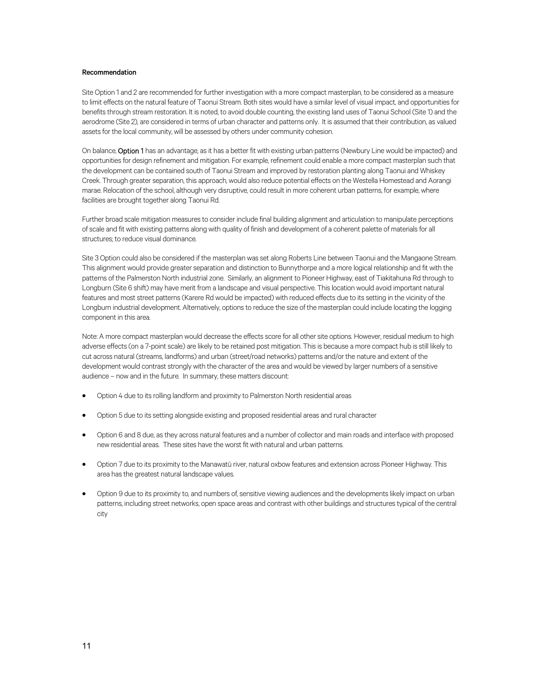#### Recommendation

Site Option 1 and 2 are recommended for further investigation with a more compact masterplan, to be considered as a measure to limit effects on the natural feature of Taonui Stream. Both sites would have a similar level of visual impact, and opportunities for benefits through stream restoration. It is noted, to avoid double counting, the existing land uses of Taonui School (Site 1) and the aerodrome (Site 2), are considered in terms of urban character and patterns only. It is assumed that their contribution, as valued assets for the local community, will be assessed by others under community cohesion.

On balance, Option 1 has an advantage, as it has a better fit with existing urban patterns (Newbury Line would be impacted) and opportunities for design refinement and mitigation. For example, refinement could enable a more compact masterplan such that the development can be contained south of Taonui Stream and improved by restoration planting along Taonui and Whiskey Creek. Through greater separation, this approach, would also reduce potential effects on the Westella Homestead and Aorangi marae. Relocation of the school, although very disruptive, could result in more coherent urban patterns, for example, where facilities are brought together along Taonui Rd.

Further broad scale mitigation measures to consider include final building alignment and articulation to manipulate perceptions of scale and fit with existing patterns along with quality of finish and development of a coherent palette of materials for all structures; to reduce visual dominance.

Site 3 Option could also be considered if the masterplan was set along Roberts Line between Taonui and the Mangaone Stream. This alignment would provide greater separation and distinction to Bunnythorpe and a more logical relationship and fit with the patterns of the Palmerston North industrial zone. Similarly, an alignment to Pioneer Highway, east of Tiakitahuna Rd through to Longburn (Site 6 shift) may have merit from a landscape and visual perspective. This location would avoid important natural features and most street patterns (Karere Rd would be impacted) with reduced effects due to its setting in the vicinity of the Longburn industrial development. Alternatively, options to reduce the size of the masterplan could include locating the logging component in this area.

Note: A more compact masterplan would decrease the effects score for all other site options. However, residual medium to high adverse effects (on a 7-point scale) are likely to be retained post mitigation. This is because a more compact hub is still likely to cut across natural (streams, landforms) and urban (street/road networks) patterns and/or the nature and extent of the development would contrast strongly with the character of the area and would be viewed by larger numbers of a sensitive audience – now and in the future. In summary, these matters discount:

- Option 4 due to its rolling landform and proximity to Palmerston North residential areas
- Option 5 due to its setting alongside existing and proposed residential areas and rural character
- Option 6 and 8 due, as they across natural features and a number of collector and main roads and interface with proposed new residential areas. These sites have the worst fit with natural and urban patterns.
- Option 7 due to its proximity to the Manawatū river, natural oxbow features and extension across Pioneer Highway. This area has the greatest natural landscape values.
- Option 9 due to its proximity to, and numbers of, sensitive viewing audiences and the developments likely impact on urban patterns, including street networks, open space areas and contrast with other buildings and structures typical of the central city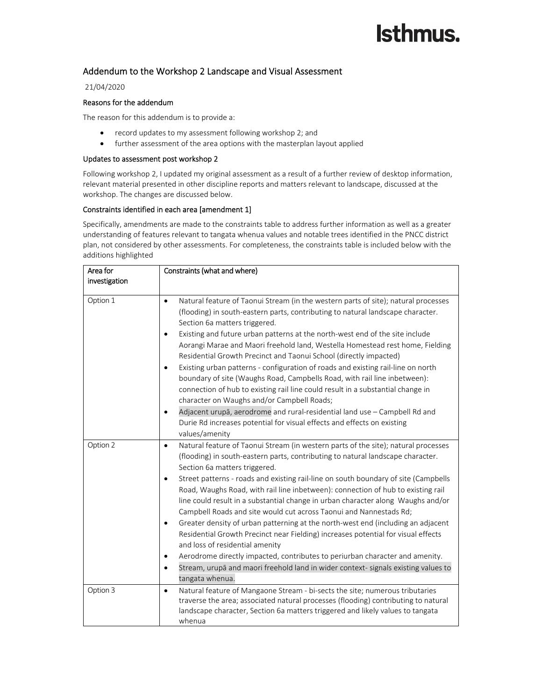### Addendum to the Workshop 2 Landscape and Visual Assessment

### 21/04/2020

#### Reasons for the addendum

The reason for this addendum is to provide a:

- record updates to my assessment following workshop 2; and
- further assessment of the area options with the masterplan layout applied

#### Updates to assessment post workshop 2

Following workshop 2, I updated my original assessment as a result of a further review of desktop information, relevant material presented in other discipline reports and matters relevant to landscape, discussed at the workshop. The changes are discussed below.

#### Constraints identified in each area [amendment 1]

Specifically, amendments are made to the constraints table to address further information as well as a greater understanding of features relevant to tangata whenua values and notable trees identified in the PNCC district plan, not considered by other assessments. For completeness, the constraints table is included below with the additions highlighted

| Area for      | Constraints (what and where)                                                                                                                                                                                                                                                                                                                                                                                                                                                                                                                                                                                                                                                                                                                                                                                                                                                                                                                                                                                      |  |
|---------------|-------------------------------------------------------------------------------------------------------------------------------------------------------------------------------------------------------------------------------------------------------------------------------------------------------------------------------------------------------------------------------------------------------------------------------------------------------------------------------------------------------------------------------------------------------------------------------------------------------------------------------------------------------------------------------------------------------------------------------------------------------------------------------------------------------------------------------------------------------------------------------------------------------------------------------------------------------------------------------------------------------------------|--|
| investigation |                                                                                                                                                                                                                                                                                                                                                                                                                                                                                                                                                                                                                                                                                                                                                                                                                                                                                                                                                                                                                   |  |
| Option 1      | Natural feature of Taonui Stream (in the western parts of site); natural processes<br>$\bullet$<br>(flooding) in south-eastern parts, contributing to natural landscape character.<br>Section 6a matters triggered.<br>Existing and future urban patterns at the north-west end of the site include<br>$\bullet$<br>Aorangi Marae and Maori freehold land, Westella Homestead rest home, Fielding<br>Residential Growth Precinct and Taonui School (directly impacted)<br>Existing urban patterns - configuration of roads and existing rail-line on north<br>$\bullet$<br>boundary of site (Waughs Road, Campbells Road, with rail line inbetween):<br>connection of hub to existing rail line could result in a substantial change in<br>character on Waughs and/or Campbell Roads;<br>Adjacent urupā, aerodrome and rural-residential land use - Campbell Rd and<br>$\bullet$<br>Durie Rd increases potential for visual effects and effects on existing<br>values/amenity                                     |  |
| Option 2      | Natural feature of Taonui Stream (in western parts of the site); natural processes<br>$\bullet$<br>(flooding) in south-eastern parts, contributing to natural landscape character.<br>Section 6a matters triggered.<br>Street patterns - roads and existing rail-line on south boundary of site (Campbells<br>$\bullet$<br>Road, Waughs Road, with rail line inbetween): connection of hub to existing rail<br>line could result in a substantial change in urban character along Waughs and/or<br>Campbell Roads and site would cut across Taonui and Nannestads Rd;<br>Greater density of urban patterning at the north-west end (including an adjacent<br>$\bullet$<br>Residential Growth Precinct near Fielding) increases potential for visual effects<br>and loss of residential amenity<br>Aerodrome directly impacted, contributes to periurban character and amenity.<br>$\bullet$<br>Stream, urupā and maori freehold land in wider context- signals existing values to<br>$\bullet$<br>tangata whenua. |  |
| Option 3      | Natural feature of Mangaone Stream - bi-sects the site; numerous tributaries<br>$\bullet$<br>traverse the area; associated natural processes (flooding) contributing to natural<br>landscape character, Section 6a matters triggered and likely values to tangata<br>whenua                                                                                                                                                                                                                                                                                                                                                                                                                                                                                                                                                                                                                                                                                                                                       |  |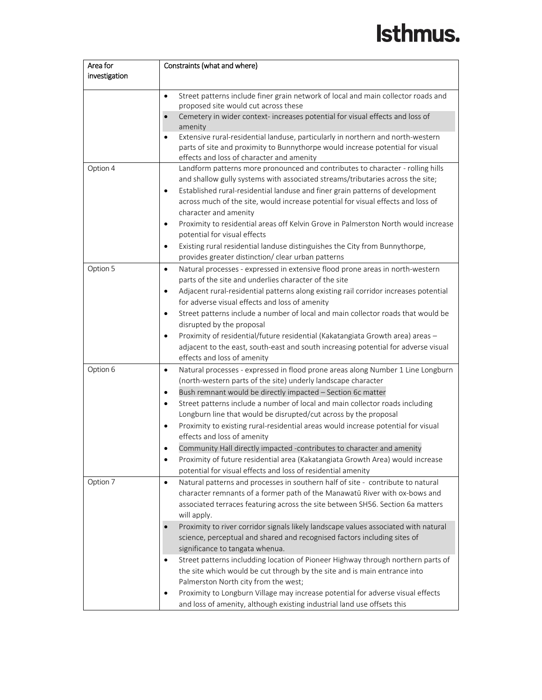| Area for      | Constraints (what and where)                                                                      |  |  |
|---------------|---------------------------------------------------------------------------------------------------|--|--|
| investigation |                                                                                                   |  |  |
|               |                                                                                                   |  |  |
|               | Street patterns include finer grain network of local and main collector roads and<br>$\bullet$    |  |  |
|               | proposed site would cut across these                                                              |  |  |
|               | Cemetery in wider context- increases potential for visual effects and loss of<br>amenity          |  |  |
|               | Extensive rural-residential landuse, particularly in northern and north-western<br>$\bullet$      |  |  |
|               | parts of site and proximity to Bunnythorpe would increase potential for visual                    |  |  |
|               | effects and loss of character and amenity                                                         |  |  |
| Option 4      | Landform patterns more pronounced and contributes to character - rolling hills                    |  |  |
|               | and shallow gully systems with associated streams/tributaries across the site;                    |  |  |
|               | Established rural-residential landuse and finer grain patterns of development<br>$\bullet$        |  |  |
|               | across much of the site, would increase potential for visual effects and loss of                  |  |  |
|               | character and amenity                                                                             |  |  |
|               | Proximity to residential areas off Kelvin Grove in Palmerston North would increase<br>٠           |  |  |
|               | potential for visual effects                                                                      |  |  |
|               | Existing rural residential landuse distinguishes the City from Bunnythorpe,<br>$\bullet$          |  |  |
|               | provides greater distinction/ clear urban patterns                                                |  |  |
| Option 5      | Natural processes - expressed in extensive flood prone areas in north-western<br>$\bullet$        |  |  |
|               | parts of the site and underlies character of the site                                             |  |  |
|               | Adjacent rural-residential patterns along existing rail corridor increases potential<br>$\bullet$ |  |  |
|               | for adverse visual effects and loss of amenity                                                    |  |  |
|               | Street patterns include a number of local and main collector roads that would be<br>$\bullet$     |  |  |
|               | disrupted by the proposal                                                                         |  |  |
|               | Proximity of residential/future residential (Kakatangiata Growth area) areas -<br>$\bullet$       |  |  |
|               | adjacent to the east, south-east and south increasing potential for adverse visual                |  |  |
|               | effects and loss of amenity                                                                       |  |  |
| Option 6      | Natural processes - expressed in flood prone areas along Number 1 Line Longburn<br>$\bullet$      |  |  |
|               | (north-western parts of the site) underly landscape character                                     |  |  |
|               | Bush remnant would be directly impacted - Section 6c matter<br>$\bullet$                          |  |  |
|               | Street patterns include a number of local and main collector roads including<br>$\bullet$         |  |  |
|               | Longburn line that would be disrupted/cut across by the proposal                                  |  |  |
|               | Proximity to existing rural-residential areas would increase potential for visual<br>$\bullet$    |  |  |
|               | effects and loss of amenity                                                                       |  |  |
|               | Community Hall directly impacted -contributes to character and amenity<br>$\bullet$               |  |  |
|               | Proximity of future residential area (Kakatangiata Growth Area) would increase<br>$\bullet$       |  |  |
|               | potential for visual effects and loss of residential amenity                                      |  |  |
| Option 7      | Natural patterns and processes in southern half of site - contribute to natural<br>$\bullet$      |  |  |
|               | character remnants of a former path of the Manawatū River with ox-bows and                        |  |  |
|               | associated terraces featuring across the site between SH56. Section 6a matters                    |  |  |
|               | will apply.                                                                                       |  |  |
|               | Proximity to river corridor signals likely landscape values associated with natural               |  |  |
|               | science, perceptual and shared and recognised factors including sites of                          |  |  |
|               | significance to tangata whenua.                                                                   |  |  |
|               | Street patterns includding location of Pioneer Highway through northern parts of<br>$\bullet$     |  |  |
|               | the site which would be cut through by the site and is main entrance into                         |  |  |
|               | Palmerston North city from the west;                                                              |  |  |
|               | Proximity to Longburn Village may increase potential for adverse visual effects<br>$\bullet$      |  |  |
|               | and loss of amenity, although existing industrial land use offsets this                           |  |  |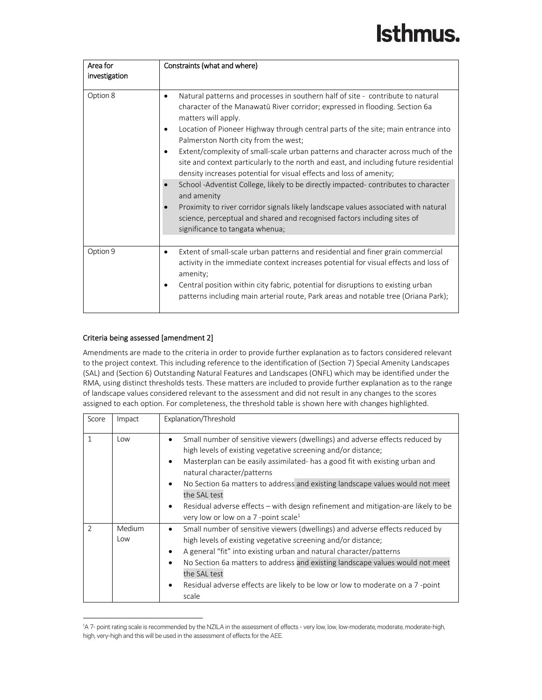| Area for<br>investigation | Constraints (what and where)                                                                                                                                                                                                                                                                                                                                                                                                                                                                                                                                                                                                                                                                                                                                                                                                                                                                                     |
|---------------------------|------------------------------------------------------------------------------------------------------------------------------------------------------------------------------------------------------------------------------------------------------------------------------------------------------------------------------------------------------------------------------------------------------------------------------------------------------------------------------------------------------------------------------------------------------------------------------------------------------------------------------------------------------------------------------------------------------------------------------------------------------------------------------------------------------------------------------------------------------------------------------------------------------------------|
| Option 8                  | Natural patterns and processes in southern half of site - contribute to natural<br>٠<br>character of the Manawatū River corridor; expressed in flooding. Section 6a<br>matters will apply.<br>Location of Pioneer Highway through central parts of the site; main entrance into<br>$\bullet$<br>Palmerston North city from the west;<br>Extent/complexity of small-scale urban patterns and character across much of the<br>$\bullet$<br>site and context particularly to the north and east, and including future residential<br>density increases potential for visual effects and loss of amenity;<br>School -Adventist College, likely to be directly impacted-contributes to character<br>and amenity<br>Proximity to river corridor signals likely landscape values associated with natural<br>science, perceptual and shared and recognised factors including sites of<br>significance to tangata whenua; |
| Option 9                  | Extent of small-scale urban patterns and residential and finer grain commercial<br>٠<br>activity in the immediate context increases potential for visual effects and loss of<br>amenity;<br>Central position within city fabric, potential for disruptions to existing urban<br>patterns including main arterial route, Park areas and notable tree (Oriana Park);                                                                                                                                                                                                                                                                                                                                                                                                                                                                                                                                               |

### Criteria being assessed [amendment 2]

Amendments are made to the criteria in order to provide further explanation as to factors considered relevant to the project context. This including reference to the identification of (Section 7) Special Amenity Landscapes (SAL) and (Section 6) Outstanding Natural Features and Landscapes (ONFL) which may be identified under the RMA, using distinct thresholds tests. These matters are included to provide further explanation as to the range of landscape values considered relevant to the assessment and did not result in any changes to the scores assigned to each option. For completeness, the threshold table is shown here with changes highlighted.

| Score          | Impact        | Explanation/Threshold                                                                                                                                                                                                                                                                                                                                                                                                                                                                                                                                    |
|----------------|---------------|----------------------------------------------------------------------------------------------------------------------------------------------------------------------------------------------------------------------------------------------------------------------------------------------------------------------------------------------------------------------------------------------------------------------------------------------------------------------------------------------------------------------------------------------------------|
| $\mathbf{1}$   | Low           | Small number of sensitive viewers (dwellings) and adverse effects reduced by<br>$\bullet$<br>high levels of existing vegetative screening and/or distance;<br>Masterplan can be easily assimilated- has a good fit with existing urban and<br>$\bullet$<br>natural character/patterns<br>No Section 6a matters to address and existing landscape values would not meet<br>$\bullet$<br>the SAL test<br>Residual adverse effects – with design refinement and mitigation-are likely to be<br>$\bullet$<br>very low or low on a 7-point scale <sup>1</sup> |
| $\mathfrak{D}$ | Medium<br>Low | Small number of sensitive viewers (dwellings) and adverse effects reduced by<br>٠<br>high levels of existing vegetative screening and/or distance;<br>A general "fit" into existing urban and natural character/patterns<br>$\bullet$<br>No Section 6a matters to address and existing landscape values would not meet<br>$\bullet$<br>the SAL test<br>Residual adverse effects are likely to be low or low to moderate on a 7-point<br>$\bullet$<br>scale                                                                                               |

<sup>1</sup> A 7- point rating scale is recommended by the NZILA in the assessment of effects - very low, low, low-moderate, moderate, moderate-high, high, very-high and this will be used in the assessment of effects for the AEE.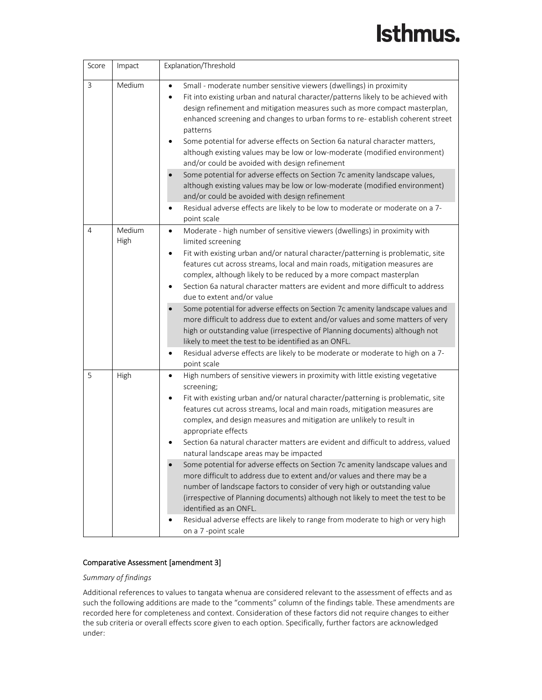| Score | Impact         | Explanation/Threshold                                                                                                                                                                                                                                                                                                                                                                                                                                                                                                                                                                                                                                                                                                                                                                                                                                                                                                                                                            |
|-------|----------------|----------------------------------------------------------------------------------------------------------------------------------------------------------------------------------------------------------------------------------------------------------------------------------------------------------------------------------------------------------------------------------------------------------------------------------------------------------------------------------------------------------------------------------------------------------------------------------------------------------------------------------------------------------------------------------------------------------------------------------------------------------------------------------------------------------------------------------------------------------------------------------------------------------------------------------------------------------------------------------|
| 3     | Medium         | Small - moderate number sensitive viewers (dwellings) in proximity<br>$\bullet$<br>Fit into existing urban and natural character/patterns likely to be achieved with<br>$\bullet$<br>design refinement and mitigation measures such as more compact masterplan,<br>enhanced screening and changes to urban forms to re-establish coherent street<br>patterns<br>Some potential for adverse effects on Section 6a natural character matters,<br>although existing values may be low or low-moderate (modified environment)<br>and/or could be avoided with design refinement<br>Some potential for adverse effects on Section 7c amenity landscape values,<br>although existing values may be low or low-moderate (modified environment)<br>and/or could be avoided with design refinement<br>Residual adverse effects are likely to be low to moderate or moderate on a 7-<br>$\bullet$<br>point scale                                                                           |
| 4     | Medium<br>High | Moderate - high number of sensitive viewers (dwellings) in proximity with<br>$\bullet$<br>limited screening<br>Fit with existing urban and/or natural character/patterning is problematic, site<br>$\bullet$<br>features cut across streams, local and main roads, mitigation measures are<br>complex, although likely to be reduced by a more compact masterplan<br>Section 6a natural character matters are evident and more difficult to address<br>due to extent and/or value<br>Some potential for adverse effects on Section 7c amenity landscape values and<br>more difficult to address due to extent and/or values and some matters of very<br>high or outstanding value (irrespective of Planning documents) although not<br>likely to meet the test to be identified as an ONFL.<br>Residual adverse effects are likely to be moderate or moderate to high on a 7-<br>point scale                                                                                     |
| 5     | High           | High numbers of sensitive viewers in proximity with little existing vegetative<br>$\bullet$<br>screening;<br>Fit with existing urban and/or natural character/patterning is problematic, site<br>٠<br>features cut across streams, local and main roads, mitigation measures are<br>complex, and design measures and mitigation are unlikely to result in<br>appropriate effects<br>Section 6a natural character matters are evident and difficult to address, valued<br>natural landscape areas may be impacted<br>Some potential for adverse effects on Section 7c amenity landscape values and<br>more difficult to address due to extent and/or values and there may be a<br>number of landscape factors to consider of very high or outstanding value<br>(irrespective of Planning documents) although not likely to meet the test to be<br>identified as an ONFL.<br>Residual adverse effects are likely to range from moderate to high or very high<br>on a 7-point scale |

#### Comparative Assessment [amendment 3]

#### *Summary of findings*

Additional references to values to tangata whenua are considered relevant to the assessment of effects and as such the following additions are made to the "comments" column of the findings table. These amendments are recorded here for completeness and context. Consideration of these factors did not require changes to either the sub criteria or overall effects score given to each option. Specifically, further factors are acknowledged under: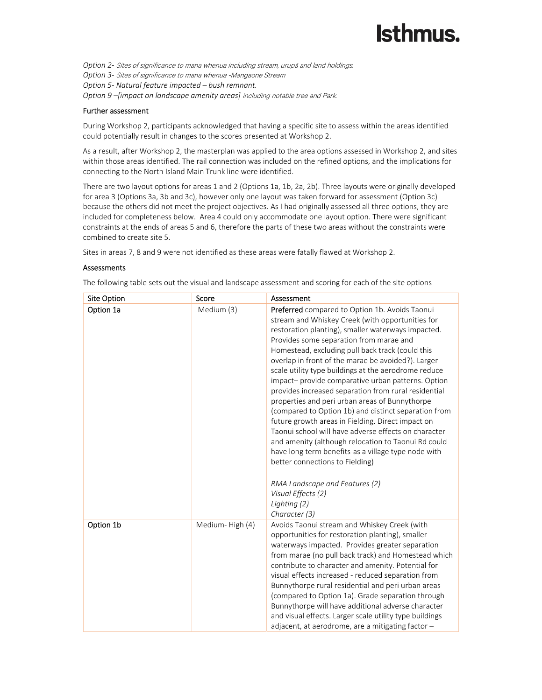*Option 2‐* Sites of significance to mana whenua including stream, urupā and land holdings. *Option 3‐* Sites of significance to mana whenua -Mangaone Stream *Option 5‐ Natural feature impacted – bush remnant. Option 9 –[impact on landscape amenity areas]* including notable tree and Park.

#### Further assessment

During Workshop 2, participants acknowledged that having a specific site to assess within the areas identified could potentially result in changes to the scores presented at Workshop 2.

As a result, after Workshop 2, the masterplan was applied to the area options assessed in Workshop 2, and sites within those areas identified. The rail connection was included on the refined options, and the implications for connecting to the North Island Main Trunk line were identified.

There are two layout options for areas 1 and 2 (Options 1a, 1b, 2a, 2b). Three layouts were originally developed for area 3 (Options 3a, 3b and 3c), however only one layout was taken forward for assessment (Option 3c) because the others did not meet the project objectives. As I had originally assessed all three options, they are included for completeness below. Area 4 could only accommodate one layout option. There were significant constraints at the ends of areas 5 and 6, therefore the parts of these two areas without the constraints were combined to create site 5.

Sites in areas 7, 8 and 9 were not identified as these areas were fatally flawed at Workshop 2.

#### Assessments

The following table sets out the visual and landscape assessment and scoring for each of the site options

| Site Option | Score           | Assessment                                                                                                                                                                                                                                                                                                                                                                                                                                                                                                                                                                                                                                                                                                                                                                                                                                                                                                                                           |
|-------------|-----------------|------------------------------------------------------------------------------------------------------------------------------------------------------------------------------------------------------------------------------------------------------------------------------------------------------------------------------------------------------------------------------------------------------------------------------------------------------------------------------------------------------------------------------------------------------------------------------------------------------------------------------------------------------------------------------------------------------------------------------------------------------------------------------------------------------------------------------------------------------------------------------------------------------------------------------------------------------|
| Option 1a   | Medium (3)      | Preferred compared to Option 1b. Avoids Taonui<br>stream and Whiskey Creek (with opportunities for<br>restoration planting), smaller waterways impacted.<br>Provides some separation from marae and<br>Homestead, excluding pull back track (could this<br>overlap in front of the marae be avoided?). Larger<br>scale utility type buildings at the aerodrome reduce<br>impact- provide comparative urban patterns. Option<br>provides increased separation from rural residential<br>properties and peri urban areas of Bunnythorpe<br>(compared to Option 1b) and distinct separation from<br>future growth areas in Fielding. Direct impact on<br>Taonui school will have adverse effects on character<br>and amenity (although relocation to Taonui Rd could<br>have long term benefits-as a village type node with<br>better connections to Fielding)<br>RMA Landscape and Features (2)<br>Visual Effects (2)<br>Lighting (2)<br>Character (3) |
| Option 1b   | Medium-High (4) | Avoids Taonui stream and Whiskey Creek (with<br>opportunities for restoration planting), smaller<br>waterways impacted. Provides greater separation<br>from marae (no pull back track) and Homestead which<br>contribute to character and amenity. Potential for<br>visual effects increased - reduced separation from<br>Bunnythorpe rural residential and peri urban areas<br>(compared to Option 1a). Grade separation through<br>Bunnythorpe will have additional adverse character<br>and visual effects. Larger scale utility type buildings<br>adjacent, at aerodrome, are a mitigating factor -                                                                                                                                                                                                                                                                                                                                              |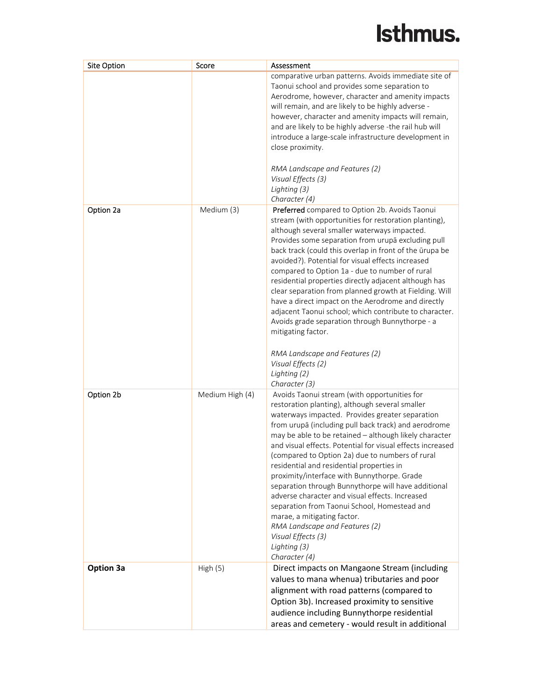| <b>Site Option</b> | Score           | Assessment                                                                                                                                                                                                                                                                                                                                                                                                                                                                                                                                                                                                                                                                                                                                                          |
|--------------------|-----------------|---------------------------------------------------------------------------------------------------------------------------------------------------------------------------------------------------------------------------------------------------------------------------------------------------------------------------------------------------------------------------------------------------------------------------------------------------------------------------------------------------------------------------------------------------------------------------------------------------------------------------------------------------------------------------------------------------------------------------------------------------------------------|
|                    |                 | comparative urban patterns. Avoids immediate site of<br>Taonui school and provides some separation to<br>Aerodrome, however, character and amenity impacts<br>will remain, and are likely to be highly adverse -<br>however, character and amenity impacts will remain,<br>and are likely to be highly adverse -the rail hub will<br>introduce a large-scale infrastructure development in<br>close proximity.<br>RMA Landscape and Features (2)<br>Visual Effects (3)<br>Lighting (3)<br>Character (4)                                                                                                                                                                                                                                                             |
| Option 2a          | Medium (3)      | Preferred compared to Option 2b. Avoids Taonui<br>stream (with opportunities for restoration planting),<br>although several smaller waterways impacted.<br>Provides some separation from urupā excluding pull<br>back track (could this overlap in front of the ūrupa be<br>avoided?). Potential for visual effects increased<br>compared to Option 1a - due to number of rural<br>residential properties directly adjacent although has<br>clear separation from planned growth at Fielding. Will<br>have a direct impact on the Aerodrome and directly<br>adjacent Taonui school; which contribute to character.<br>Avoids grade separation through Bunnythorpe - a<br>mitigating factor.                                                                         |
|                    |                 | RMA Landscape and Features (2)<br>Visual Effects (2)<br>Lighting (2)<br>Character (3)                                                                                                                                                                                                                                                                                                                                                                                                                                                                                                                                                                                                                                                                               |
| Option 2b          | Medium High (4) | Avoids Taonui stream (with opportunities for<br>restoration planting), although several smaller<br>waterways impacted. Provides greater separation<br>from urupā (including pull back track) and aerodrome<br>may be able to be retained - although likely character<br>and visual effects. Potential for visual effects increased<br>(compared to Option 2a) due to numbers of rural<br>residential and residential properties in<br>proximity/interface with Bunnythorpe. Grade<br>separation through Bunnythorpe will have additional<br>adverse character and visual effects. Increased<br>separation from Taonui School, Homestead and<br>marae, a mitigating factor.<br>RMA Landscape and Features (2)<br>Visual Effects (3)<br>Lighting (3)<br>Character (4) |
| <b>Option 3a</b>   | High(5)         | Direct impacts on Mangaone Stream (including<br>values to mana whenua) tributaries and poor<br>alignment with road patterns (compared to<br>Option 3b). Increased proximity to sensitive<br>audience including Bunnythorpe residential<br>areas and cemetery - would result in additional                                                                                                                                                                                                                                                                                                                                                                                                                                                                           |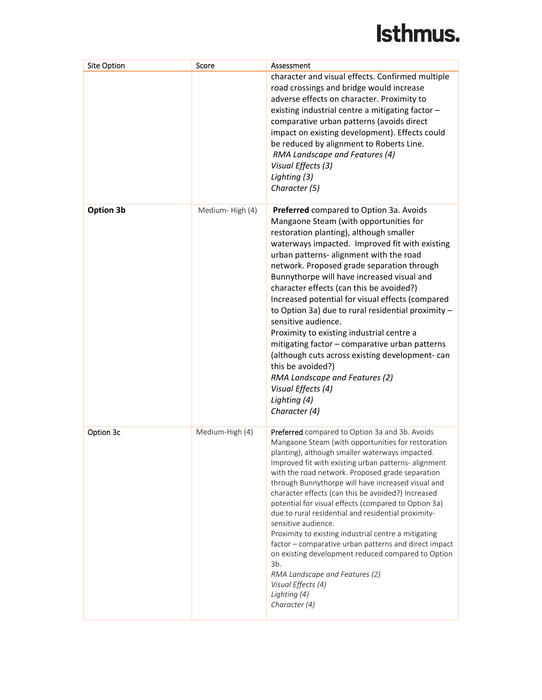| <b>Site Option</b> | Score           | Assessment                                                                                                                                                                                                                                                                                                                                                                                                                                                                                                                                                                                                                                                                                                                                                                                      |
|--------------------|-----------------|-------------------------------------------------------------------------------------------------------------------------------------------------------------------------------------------------------------------------------------------------------------------------------------------------------------------------------------------------------------------------------------------------------------------------------------------------------------------------------------------------------------------------------------------------------------------------------------------------------------------------------------------------------------------------------------------------------------------------------------------------------------------------------------------------|
|                    |                 | character and visual effects. Confirmed multiple<br>road crossings and bridge would increase<br>adverse effects on character. Proximity to<br>existing industrial centre a mitigating factor -<br>comparative urban patterns (avoids direct<br>impact on existing development). Effects could<br>be reduced by alignment to Roberts Line.<br>RMA Landscape and Features (4)<br>Visual Effects (3)<br>Lighting (3)<br>Character (5)                                                                                                                                                                                                                                                                                                                                                              |
| Option 3b          | Medium-High (4) | Preferred compared to Option 3a. Avoids<br>Mangaone Steam (with opportunities for<br>restoration planting), although smaller<br>waterways impacted. Improved fit with existing<br>urban patterns- alignment with the road<br>network. Proposed grade separation through<br>Bunnythorpe will have increased visual and<br>character effects (can this be avoided?)<br>Increased potential for visual effects (compared<br>to Option 3a) due to rural residential proximity -<br>sensitive audience.<br>Proximity to existing industrial centre a<br>mitigating factor - comparative urban patterns<br>(although cuts across existing development-can<br>this be avoided?)<br>RMA Landscape and Features (2)<br>Visual Effects (4)<br>Lighting (4)<br>Character (4)                               |
| Option 3c          | Medium-High (4) | Preferred compared to Option 3a and 3b. Avoids<br>Mangaone Steam (with opportunities for restoration<br>planting), although smaller waterways impacted.<br>Improved fit with existing urban patterns- alignment<br>with the road network. Proposed grade separation<br>through Bunnythorpe will have increased visual and<br>character effects (can this be avoided?) Increased<br>potential for visual effects (compared to Option 3a)<br>due to rural residential and residential proximity-<br>sensitive audience.<br>Proximity to existing industrial centre a mitigating<br>factor - comparative urban patterns and direct impact<br>on existing development reduced compared to Option<br>$3b$ .<br>RMA Landscape and Features (2)<br>Visual Effects (4)<br>Lighting (4)<br>Character (4) |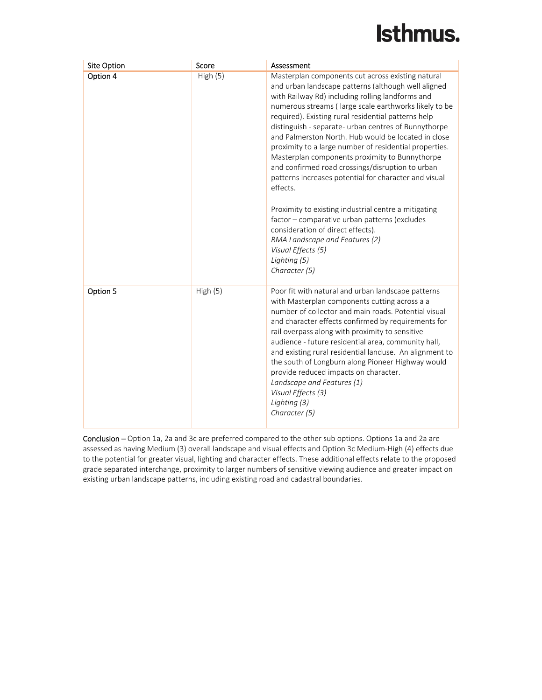| Site Option | Score   | Assessment                                                                                                                                                                                                                                                                                                                                                                                                                                                                                                                                                                                                                                                                                                                                                                                                                                                              |
|-------------|---------|-------------------------------------------------------------------------------------------------------------------------------------------------------------------------------------------------------------------------------------------------------------------------------------------------------------------------------------------------------------------------------------------------------------------------------------------------------------------------------------------------------------------------------------------------------------------------------------------------------------------------------------------------------------------------------------------------------------------------------------------------------------------------------------------------------------------------------------------------------------------------|
| Option 4    | High(5) | Masterplan components cut across existing natural<br>and urban landscape patterns (although well aligned<br>with Railway Rd) including rolling landforms and<br>numerous streams (large scale earthworks likely to be<br>required). Existing rural residential patterns help<br>distinguish - separate- urban centres of Bunnythorpe<br>and Palmerston North. Hub would be located in close<br>proximity to a large number of residential properties.<br>Masterplan components proximity to Bunnythorpe<br>and confirmed road crossings/disruption to urban<br>patterns increases potential for character and visual<br>effects.<br>Proximity to existing industrial centre a mitigating<br>factor - comparative urban patterns (excludes<br>consideration of direct effects).<br>RMA Landscape and Features (2)<br>Visual Effects (5)<br>Lighting (5)<br>Character (5) |
| Option 5    | High(5) | Poor fit with natural and urban landscape patterns<br>with Masterplan components cutting across a a<br>number of collector and main roads. Potential visual<br>and character effects confirmed by requirements for<br>rail overpass along with proximity to sensitive<br>audience - future residential area, community hall,<br>and existing rural residential landuse. An alignment to<br>the south of Longburn along Pioneer Highway would<br>provide reduced impacts on character.<br>Landscape and Features (1)<br>Visual Effects (3)<br>Lighting (3)<br>Character (5)                                                                                                                                                                                                                                                                                              |

Conclusion – Option 1a, 2a and 3c are preferred compared to the other sub options. Options 1a and 2a are assessed as having Medium (3) overall landscape and visual effects and Option 3c Medium‐High (4) effects due to the potential for greater visual, lighting and character effects. These additional effects relate to the proposed grade separated interchange, proximity to larger numbers of sensitive viewing audience and greater impact on existing urban landscape patterns, including existing road and cadastral boundaries.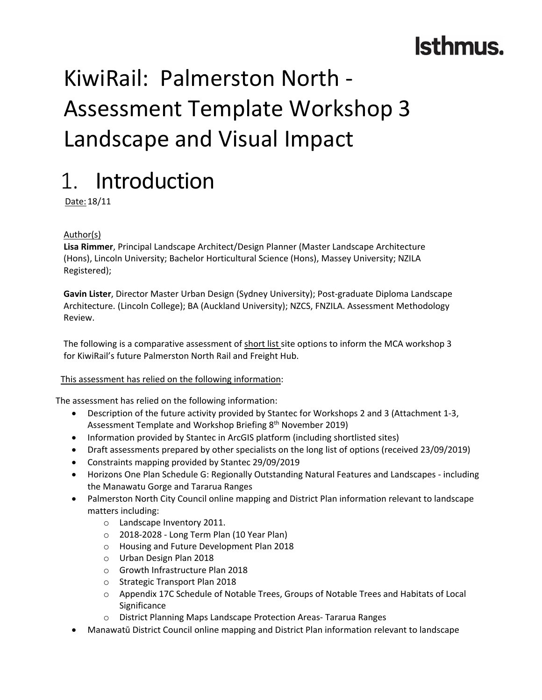# KiwiRail: Palmerston North ‐ Assessment Template Workshop 3 Landscape and Visual Impact

### 1. Introduction

Date:18/11

### Author(s)

**Lisa Rimmer**, Principal Landscape Architect/Design Planner (Master Landscape Architecture (Hons), Lincoln University; Bachelor Horticultural Science (Hons), Massey University; NZILA Registered);

**Gavin Lister**, Director Master Urban Design (Sydney University); Post‐graduate Diploma Landscape Architecture. (Lincoln College); BA (Auckland University); NZCS, FNZILA. Assessment Methodology Review.

The following is a comparative assessment of short list site options to inform the MCA workshop 3 for KiwiRail's future Palmerston North Rail and Freight Hub.

### This assessment has relied on the following information:

The assessment has relied on the following information:

- Description of the future activity provided by Stantec for Workshops 2 and 3 (Attachment 1‐3, Assessment Template and Workshop Briefing 8<sup>th</sup> November 2019)
- Information provided by Stantec in ArcGIS platform (including shortlisted sites)
- Draft assessments prepared by other specialists on the long list of options (received 23/09/2019)
- Constraints mapping provided by Stantec 29/09/2019
- Horizons One Plan Schedule G: Regionally Outstanding Natural Features and Landscapes ‐ including the Manawatu Gorge and Tararua Ranges
- Palmerston North City Council online mapping and District Plan information relevant to landscape matters including:
	- o Landscape Inventory 2011.
	- o 2018‐2028 ‐ Long Term Plan (10 Year Plan)
	- o Housing and Future Development Plan 2018
	- o Urban Design Plan 2018
	- o Growth Infrastructure Plan 2018
	- o Strategic Transport Plan 2018
	- o Appendix 17C Schedule of Notable Trees, Groups of Notable Trees and Habitats of Local **Significance**
	- o District Planning Maps Landscape Protection Areas‐ Tararua Ranges
- Manawatū District Council online mapping and District Plan information relevant to landscape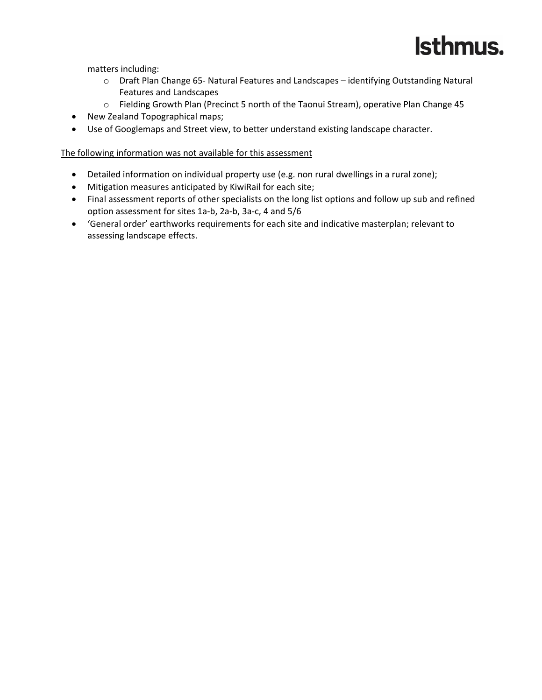

matters including:

- o Draft Plan Change 65‐ Natural Features and Landscapes identifying Outstanding Natural Features and Landscapes
- o Fielding Growth Plan (Precinct 5 north of the Taonui Stream), operative Plan Change 45
- New Zealand Topographical maps;
- Use of Googlemaps and Street view, to better understand existing landscape character.

### The following information was not available for this assessment

- Detailed information on individual property use (e.g. non rural dwellings in a rural zone);
- Mitigation measures anticipated by KiwiRail for each site;
- Final assessment reports of other specialists on the long list options and follow up sub and refined option assessment for sites 1a‐b, 2a‐b, 3a‐c, 4 and 5/6
- 'General order' earthworks requirements for each site and indicative masterplan; relevant to assessing landscape effects.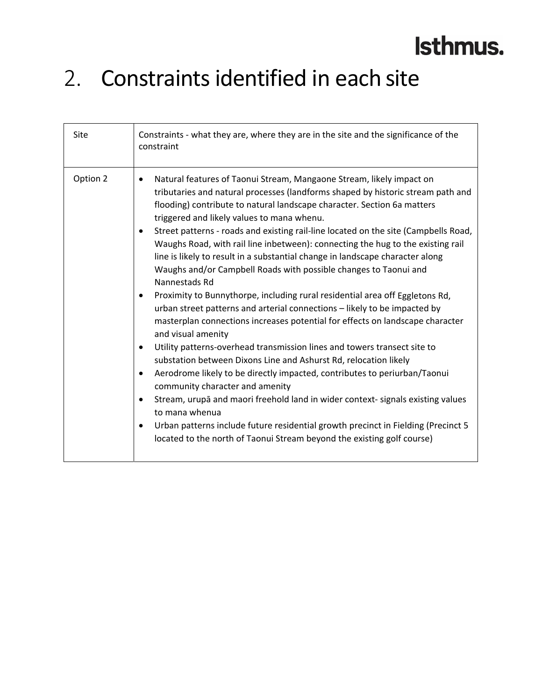### 2. Constraints identified in each site

| Site     | Constraints - what they are, where they are in the site and the significance of the<br>constraint                                                                                                                                                                                                                                                                                                                                                                                                                                                                                                                                                                                                                                                                                                                                                                                                                                                                                                                                                                                                                                                                                                                                                                                                                                                                                                                                                                                                 |
|----------|---------------------------------------------------------------------------------------------------------------------------------------------------------------------------------------------------------------------------------------------------------------------------------------------------------------------------------------------------------------------------------------------------------------------------------------------------------------------------------------------------------------------------------------------------------------------------------------------------------------------------------------------------------------------------------------------------------------------------------------------------------------------------------------------------------------------------------------------------------------------------------------------------------------------------------------------------------------------------------------------------------------------------------------------------------------------------------------------------------------------------------------------------------------------------------------------------------------------------------------------------------------------------------------------------------------------------------------------------------------------------------------------------------------------------------------------------------------------------------------------------|
| Option 2 | Natural features of Taonui Stream, Mangaone Stream, likely impact on<br>٠<br>tributaries and natural processes (landforms shaped by historic stream path and<br>flooding) contribute to natural landscape character. Section 6a matters<br>triggered and likely values to mana whenu.<br>Street patterns - roads and existing rail-line located on the site (Campbells Road,<br>Waughs Road, with rail line inbetween): connecting the hug to the existing rail<br>line is likely to result in a substantial change in landscape character along<br>Waughs and/or Campbell Roads with possible changes to Taonui and<br>Nannestads Rd<br>Proximity to Bunnythorpe, including rural residential area off Eggletons Rd,<br>$\bullet$<br>urban street patterns and arterial connections - likely to be impacted by<br>masterplan connections increases potential for effects on landscape character<br>and visual amenity<br>Utility patterns-overhead transmission lines and towers transect site to<br>$\bullet$<br>substation between Dixons Line and Ashurst Rd, relocation likely<br>Aerodrome likely to be directly impacted, contributes to periurban/Taonui<br>$\bullet$<br>community character and amenity<br>Stream, urupā and maori freehold land in wider context- signals existing values<br>$\bullet$<br>to mana whenua<br>Urban patterns include future residential growth precinct in Fielding (Precinct 5<br>located to the north of Taonui Stream beyond the existing golf course) |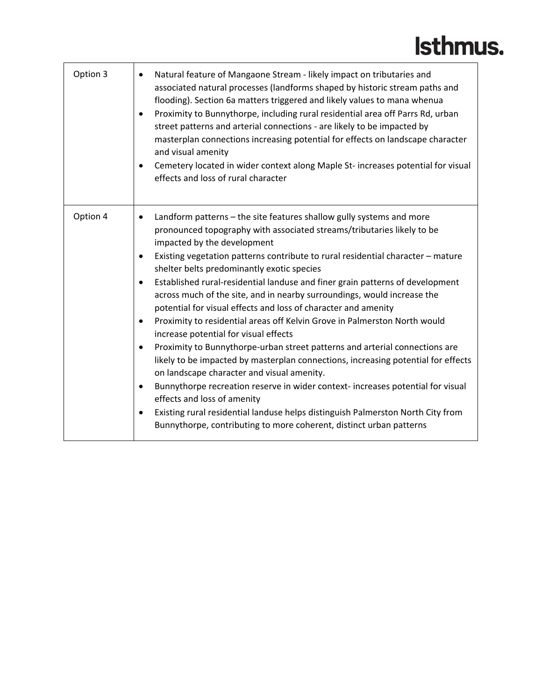| Option 3 | Natural feature of Mangaone Stream - likely impact on tributaries and<br>associated natural processes (landforms shaped by historic stream paths and<br>flooding). Section 6a matters triggered and likely values to mana whenua<br>Proximity to Bunnythorpe, including rural residential area off Parrs Rd, urban<br>street patterns and arterial connections - are likely to be impacted by<br>masterplan connections increasing potential for effects on landscape character<br>and visual amenity<br>Cemetery located in wider context along Maple St- increases potential for visual<br>effects and loss of rural character                                                                                                                                                                                                                                                                                                                                                                                                                                                                                                                                                                                                               |
|----------|------------------------------------------------------------------------------------------------------------------------------------------------------------------------------------------------------------------------------------------------------------------------------------------------------------------------------------------------------------------------------------------------------------------------------------------------------------------------------------------------------------------------------------------------------------------------------------------------------------------------------------------------------------------------------------------------------------------------------------------------------------------------------------------------------------------------------------------------------------------------------------------------------------------------------------------------------------------------------------------------------------------------------------------------------------------------------------------------------------------------------------------------------------------------------------------------------------------------------------------------|
| Option 4 | Landform patterns – the site features shallow gully systems and more<br>$\bullet$<br>pronounced topography with associated streams/tributaries likely to be<br>impacted by the development<br>Existing vegetation patterns contribute to rural residential character - mature<br>$\bullet$<br>shelter belts predominantly exotic species<br>Established rural-residential landuse and finer grain patterns of development<br>$\bullet$<br>across much of the site, and in nearby surroundings, would increase the<br>potential for visual effects and loss of character and amenity<br>Proximity to residential areas off Kelvin Grove in Palmerston North would<br>$\bullet$<br>increase potential for visual effects<br>Proximity to Bunnythorpe-urban street patterns and arterial connections are<br>$\bullet$<br>likely to be impacted by masterplan connections, increasing potential for effects<br>on landscape character and visual amenity.<br>Bunnythorpe recreation reserve in wider context- increases potential for visual<br>effects and loss of amenity<br>Existing rural residential landuse helps distinguish Palmerston North City from<br>$\bullet$<br>Bunnythorpe, contributing to more coherent, distinct urban patterns |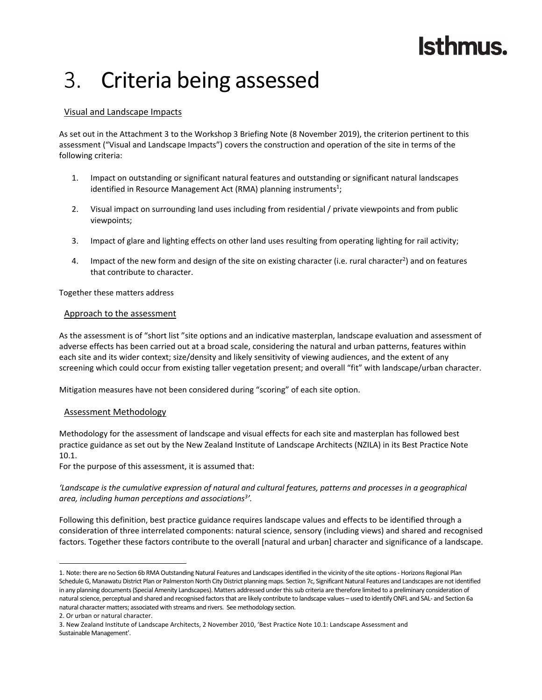### 3. Criteria being assessed

### Visual and Landscape Impacts

As set out in the Attachment 3 to the Workshop 3 Briefing Note (8 November 2019), the criterion pertinent to this assessment ("Visual and Landscape Impacts") covers the construction and operation of the site in terms of the following criteria:

- 1. Impact on outstanding or significant natural features and outstanding or significant natural landscapes identified in Resource Management Act (RMA) planning instruments<sup>1</sup>;
- 2. Visual impact on surrounding land uses including from residential / private viewpoints and from public viewpoints;
- 3. Impact of glare and lighting effects on other land uses resulting from operating lighting for rail activity;
- 4. Impact of the new form and design of the site on existing character (i.e. rural character<sup>2</sup>) and on features that contribute to character.

Together these matters address

#### Approach to the assessment

As the assessment is of "short list "site options and an indicative masterplan, landscape evaluation and assessment of adverse effects has been carried out at a broad scale, considering the natural and urban patterns, features within each site and its wider context; size/density and likely sensitivity of viewing audiences, and the extent of any screening which could occur from existing taller vegetation present; and overall "fit" with landscape/urban character.

Mitigation measures have not been considered during "scoring" of each site option.

#### Assessment Methodology

Methodology for the assessment of landscape and visual effects for each site and masterplan has followed best practice guidance as set out by the New Zealand Institute of Landscape Architects (NZILA) in its Best Practice Note 10.1.

For the purpose of this assessment, it is assumed that:

'Landscape is the cumulative expression of natural and cultural features, patterns and processes in a geographical *area, including human perceptions and associations3 '.* 

Following this definition, best practice guidance requires landscape values and effects to be identified through a consideration of three interrelated components: natural science, sensory (including views) and shared and recognised factors. Together these factors contribute to the overall [natural and urban] character and significance of a landscape.

<sup>1.</sup> Note: there are no Section 6b RMA Outstanding Natural Features and Landscapes identified in the vicinity of the site options - Horizons Regional Plan Schedule G, Manawatu District Plan or Palmerston North City District planning maps. Section 7c, Significant Natural Features and Landscapes are not identified in any planning documents(Special Amenity Landscapes). Matters addressed underthissub criteria are therefore limited to a preliminary consideration of natural science, perceptual and shared and recognised factors that are likely contribute to landscape values – used to identify ONFL and SAL- and Section 6a natural character matters; associated with streams and rivers. See methodology section.

<sup>2.</sup> Or urban or natural character.

<sup>3.</sup> New Zealand Institute of Landscape Architects, 2 November 2010, 'Best Practice Note 10.1: Landscape Assessment and Sustainable Management'.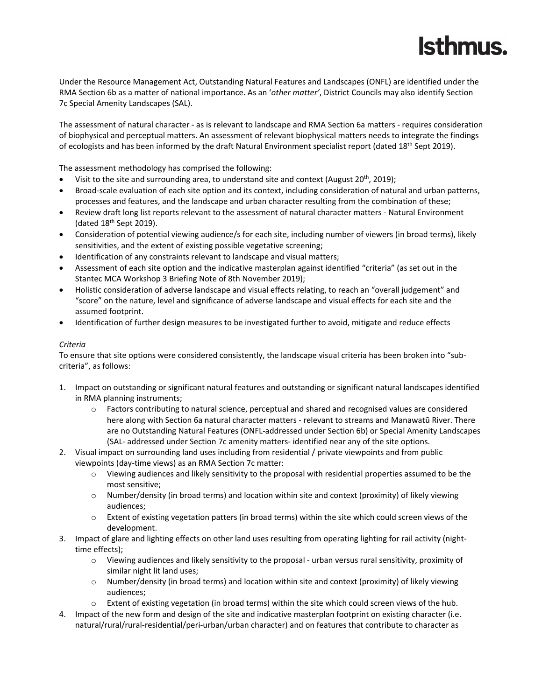Under the Resource Management Act, Outstanding Natural Features and Landscapes (ONFL) are identified under the RMA Section 6b as a matter of national importance. As an '*other matter'*, District Councils may also identify Section 7c Special Amenity Landscapes (SAL).

The assessment of natural character ‐ as is relevant to landscape and RMA Section 6a matters ‐ requires consideration of biophysical and perceptual matters. An assessment of relevant biophysical matters needs to integrate the findings of ecologists and has been informed by the draft Natural Environment specialist report (dated 18<sup>th</sup> Sept 2019).

The assessment methodology has comprised the following:

- Visit to the site and surrounding area, to understand site and context (August 20th, 2019);
- Broad-scale evaluation of each site option and its context, including consideration of natural and urban patterns, processes and features, and the landscape and urban character resulting from the combination of these;
- Review draft long list reports relevant to the assessment of natural character matters ‐ Natural Environment (dated  $18<sup>th</sup>$  Sept 2019).
- Consideration of potential viewing audience/s for each site, including number of viewers (in broad terms), likely sensitivities, and the extent of existing possible vegetative screening;
- Identification of any constraints relevant to landscape and visual matters;
- Assessment of each site option and the indicative masterplan against identified "criteria" (as set out in the Stantec MCA Workshop 3 Briefing Note of 8th November 2019);
- Holistic consideration of adverse landscape and visual effects relating, to reach an "overall judgement" and "score" on the nature, level and significance of adverse landscape and visual effects for each site and the assumed footprint.
- Identification of further design measures to be investigated further to avoid, mitigate and reduce effects

#### *Criteria*

To ensure that site options were considered consistently, the landscape visual criteria has been broken into "sub‐ criteria", as follows:

- 1. Impact on outstanding or significant natural features and outstanding or significant natural landscapes identified in RMA planning instruments;
	- o Factors contributing to natural science, perceptual and shared and recognised values are considered here along with Section 6a natural character matters - relevant to streams and Manawatū River. There are no Outstanding Natural Features (ONFL‐addressed under Section 6b) or Special Amenity Landscapes (SAL‐ addressed under Section 7c amenity matters‐ identified near any of the site options.
- 2. Visual impact on surrounding land uses including from residential / private viewpoints and from public viewpoints (day‐time views) as an RMA Section 7c matter:
	- o Viewing audiences and likely sensitivity to the proposal with residential properties assumed to be the most sensitive;
	- o Number/density (in broad terms) and location within site and context (proximity) of likely viewing audiences;
	- o Extent of existing vegetation patters (in broad terms) within the site which could screen views of the development.
- 3. Impact of glare and lighting effects on other land uses resulting from operating lighting for rail activity (night‐ time effects);
	- o Viewing audiences and likely sensitivity to the proposal ‐ urban versus rural sensitivity, proximity of similar night lit land uses;
	- o Number/density (in broad terms) and location within site and context (proximity) of likely viewing audiences;
	- o Extent of existing vegetation (in broad terms) within the site which could screen views of the hub.
- 4. Impact of the new form and design of the site and indicative masterplan footprint on existing character (i.e. natural/rural/rural‐residential/peri‐urban/urban character) and on features that contribute to character as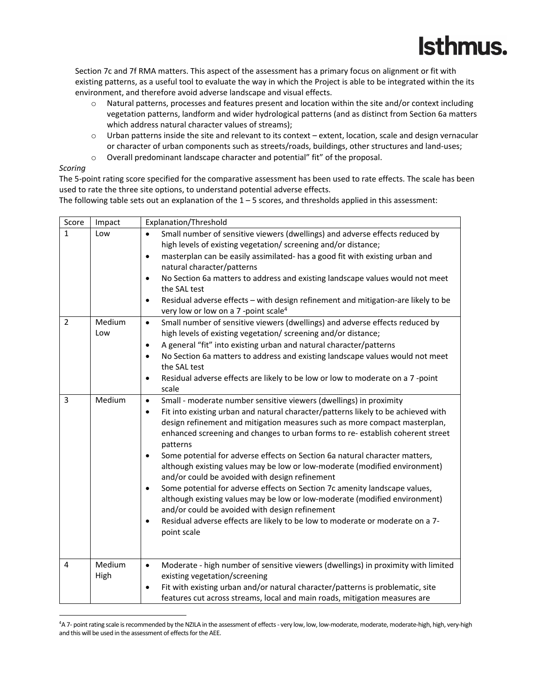Section 7c and 7f RMA matters. This aspect of the assessment has a primary focus on alignment or fit with existing patterns, as a useful tool to evaluate the way in which the Project is able to be integrated within the its environment, and therefore avoid adverse landscape and visual effects.

- o Natural patterns, processes and features present and location within the site and/or context including vegetation patterns, landform and wider hydrological patterns (and as distinct from Section 6a matters which address natural character values of streams);
- o Urban patterns inside the site and relevant to its context extent, location, scale and design vernacular or character of urban components such as streets/roads, buildings, other structures and land‐uses;
- o Overall predominant landscape character and potential" fit" of the proposal.

#### *Scoring*

The 5-point rating score specified for the comparative assessment has been used to rate effects. The scale has been used to rate the three site options, to understand potential adverse effects.

The following table sets out an explanation of the  $1 - 5$  scores, and thresholds applied in this assessment:

| Score          | Impact         | Explanation/Threshold                                                                                                                                                                                                                                                                                                                                                                                                                                                                                                                                                                                                                                                                                                                                                                                                                                                                                                            |
|----------------|----------------|----------------------------------------------------------------------------------------------------------------------------------------------------------------------------------------------------------------------------------------------------------------------------------------------------------------------------------------------------------------------------------------------------------------------------------------------------------------------------------------------------------------------------------------------------------------------------------------------------------------------------------------------------------------------------------------------------------------------------------------------------------------------------------------------------------------------------------------------------------------------------------------------------------------------------------|
| $\mathbf{1}$   | Low            | Small number of sensitive viewers (dwellings) and adverse effects reduced by<br>$\bullet$<br>high levels of existing vegetation/ screening and/or distance;<br>masterplan can be easily assimilated- has a good fit with existing urban and<br>$\bullet$<br>natural character/patterns<br>No Section 6a matters to address and existing landscape values would not meet<br>٠<br>the SAL test<br>Residual adverse effects - with design refinement and mitigation-are likely to be<br>$\bullet$<br>very low or low on a 7 -point scale <sup>4</sup>                                                                                                                                                                                                                                                                                                                                                                               |
| $\overline{2}$ | Medium<br>Low  | Small number of sensitive viewers (dwellings) and adverse effects reduced by<br>$\bullet$<br>high levels of existing vegetation/ screening and/or distance;<br>A general "fit" into existing urban and natural character/patterns<br>$\bullet$<br>No Section 6a matters to address and existing landscape values would not meet<br>$\bullet$<br>the SAL test<br>Residual adverse effects are likely to be low or low to moderate on a 7 -point<br>$\bullet$<br>scale                                                                                                                                                                                                                                                                                                                                                                                                                                                             |
| 3              | Medium         | Small - moderate number sensitive viewers (dwellings) in proximity<br>$\bullet$<br>Fit into existing urban and natural character/patterns likely to be achieved with<br>$\bullet$<br>design refinement and mitigation measures such as more compact masterplan,<br>enhanced screening and changes to urban forms to re-establish coherent street<br>patterns<br>Some potential for adverse effects on Section 6a natural character matters,<br>$\bullet$<br>although existing values may be low or low-moderate (modified environment)<br>and/or could be avoided with design refinement<br>Some potential for adverse effects on Section 7c amenity landscape values,<br>$\bullet$<br>although existing values may be low or low-moderate (modified environment)<br>and/or could be avoided with design refinement<br>Residual adverse effects are likely to be low to moderate or moderate on a 7-<br>$\bullet$<br>point scale |
| 4              | Medium<br>High | Moderate - high number of sensitive viewers (dwellings) in proximity with limited<br>$\bullet$<br>existing vegetation/screening<br>Fit with existing urban and/or natural character/patterns is problematic, site<br>$\bullet$<br>features cut across streams, local and main roads, mitigation measures are                                                                                                                                                                                                                                                                                                                                                                                                                                                                                                                                                                                                                     |

<sup>4</sup> A 7‐ pointrating scale isrecommended by the NZILA in the assessment of effects ‐ very low, low, low‐moderate, moderate, moderate‐high, high, very‐high and this will be used in the assessment of effects for the AEE.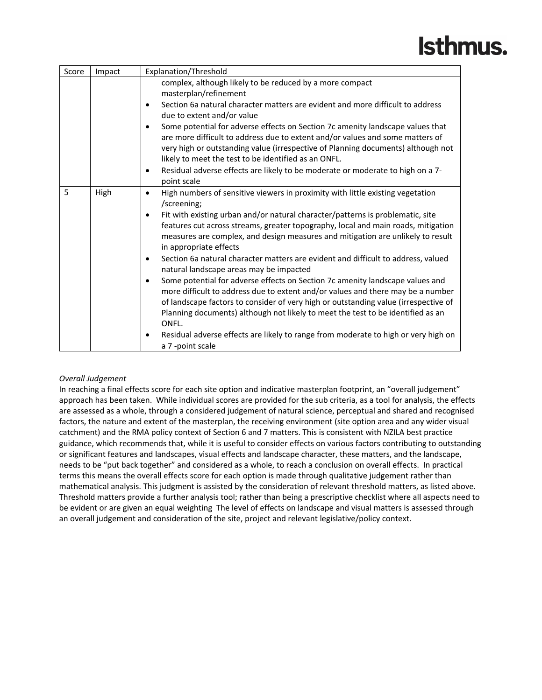| Score | Impact | Explanation/Threshold                                                                                                                                                                                                                                                                                                                                                                                                                                                                                                                                                                                                                                                                                                                                                                                                                                                                                                                                                                                                           |
|-------|--------|---------------------------------------------------------------------------------------------------------------------------------------------------------------------------------------------------------------------------------------------------------------------------------------------------------------------------------------------------------------------------------------------------------------------------------------------------------------------------------------------------------------------------------------------------------------------------------------------------------------------------------------------------------------------------------------------------------------------------------------------------------------------------------------------------------------------------------------------------------------------------------------------------------------------------------------------------------------------------------------------------------------------------------|
|       |        | complex, although likely to be reduced by a more compact<br>masterplan/refinement                                                                                                                                                                                                                                                                                                                                                                                                                                                                                                                                                                                                                                                                                                                                                                                                                                                                                                                                               |
|       |        | Section 6a natural character matters are evident and more difficult to address<br>$\bullet$<br>due to extent and/or value                                                                                                                                                                                                                                                                                                                                                                                                                                                                                                                                                                                                                                                                                                                                                                                                                                                                                                       |
|       |        | Some potential for adverse effects on Section 7c amenity landscape values that<br>$\bullet$<br>are more difficult to address due to extent and/or values and some matters of<br>very high or outstanding value (irrespective of Planning documents) although not<br>likely to meet the test to be identified as an ONFL.                                                                                                                                                                                                                                                                                                                                                                                                                                                                                                                                                                                                                                                                                                        |
|       |        | Residual adverse effects are likely to be moderate or moderate to high on a 7-<br>$\bullet$<br>point scale                                                                                                                                                                                                                                                                                                                                                                                                                                                                                                                                                                                                                                                                                                                                                                                                                                                                                                                      |
| 5     | High   | High numbers of sensitive viewers in proximity with little existing vegetation<br>$\bullet$<br>/screening:<br>Fit with existing urban and/or natural character/patterns is problematic, site<br>$\bullet$<br>features cut across streams, greater topography, local and main roads, mitigation<br>measures are complex, and design measures and mitigation are unlikely to result<br>in appropriate effects<br>Section 6a natural character matters are evident and difficult to address, valued<br>$\bullet$<br>natural landscape areas may be impacted<br>Some potential for adverse effects on Section 7c amenity landscape values and<br>$\bullet$<br>more difficult to address due to extent and/or values and there may be a number<br>of landscape factors to consider of very high or outstanding value (irrespective of<br>Planning documents) although not likely to meet the test to be identified as an<br>ONFL.<br>Residual adverse effects are likely to range from moderate to high or very high on<br>$\bullet$ |
|       |        | a 7 -point scale                                                                                                                                                                                                                                                                                                                                                                                                                                                                                                                                                                                                                                                                                                                                                                                                                                                                                                                                                                                                                |

### *Overall Judgement*

In reaching a final effects score for each site option and indicative masterplan footprint, an "overall judgement" approach has been taken. While individual scores are provided for the sub criteria, as a tool for analysis, the effects are assessed as a whole, through a considered judgement of natural science, perceptual and shared and recognised factors, the nature and extent of the masterplan, the receiving environment (site option area and any wider visual catchment) and the RMA policy context of Section 6 and 7 matters. This is consistent with NZILA best practice guidance, which recommends that, while it is useful to consider effects on various factors contributing to outstanding or significant features and landscapes, visual effects and landscape character, these matters, and the landscape, needs to be "put back together" and considered as a whole, to reach a conclusion on overall effects. In practical terms this means the overall effects score for each option is made through qualitative judgement rather than mathematical analysis. This judgment is assisted by the consideration of relevant threshold matters, as listed above. Threshold matters provide a further analysis tool; rather than being a prescriptive checklist where all aspects need to be evident or are given an equal weighting The level of effects on landscape and visual matters is assessed through an overall judgement and consideration of the site, project and relevant legislative/policy context.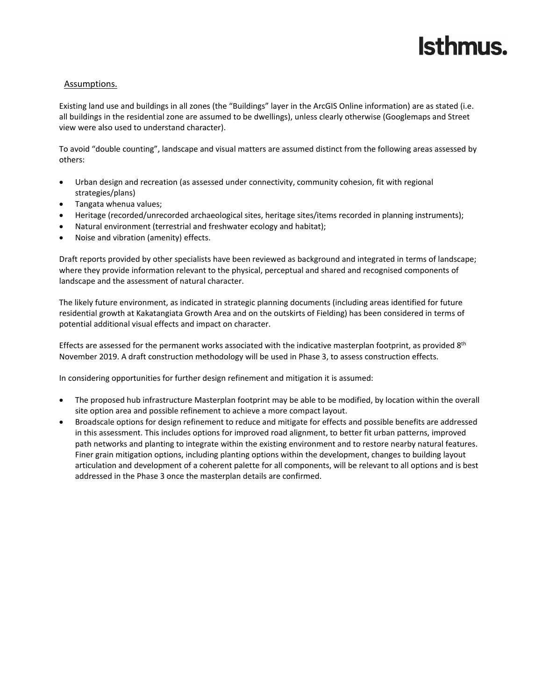### Assumptions.

Existing land use and buildings in all zones (the "Buildings" layer in the ArcGIS Online information) are as stated (i.e. all buildings in the residential zone are assumed to be dwellings), unless clearly otherwise (Googlemaps and Street view were also used to understand character).

To avoid "double counting", landscape and visual matters are assumed distinct from the following areas assessed by others:

- Urban design and recreation (as assessed under connectivity, community cohesion, fit with regional strategies/plans)
- Tangata whenua values;
- Heritage (recorded/unrecorded archaeological sites, heritage sites/items recorded in planning instruments);
- Natural environment (terrestrial and freshwater ecology and habitat);
- Noise and vibration (amenity) effects.

Draft reports provided by other specialists have been reviewed as background and integrated in terms of landscape; where they provide information relevant to the physical, perceptual and shared and recognised components of landscape and the assessment of natural character.

The likely future environment, as indicated in strategic planning documents (including areas identified for future residential growth at Kakatangiata Growth Area and on the outskirts of Fielding) has been considered in terms of potential additional visual effects and impact on character.

Effects are assessed for the permanent works associated with the indicative masterplan footprint, as provided  $8<sup>th</sup>$ November 2019. A draft construction methodology will be used in Phase 3, to assess construction effects.

In considering opportunities for further design refinement and mitigation it is assumed:

- The proposed hub infrastructure Masterplan footprint may be able to be modified, by location within the overall site option area and possible refinement to achieve a more compact layout.
- Broadscale options for design refinement to reduce and mitigate for effects and possible benefits are addressed in this assessment. This includes options for improved road alignment, to better fit urban patterns, improved path networks and planting to integrate within the existing environment and to restore nearby natural features. Finer grain mitigation options, including planting options within the development, changes to building layout articulation and development of a coherent palette for all components, will be relevant to all options and is best addressed in the Phase 3 once the masterplan details are confirmed.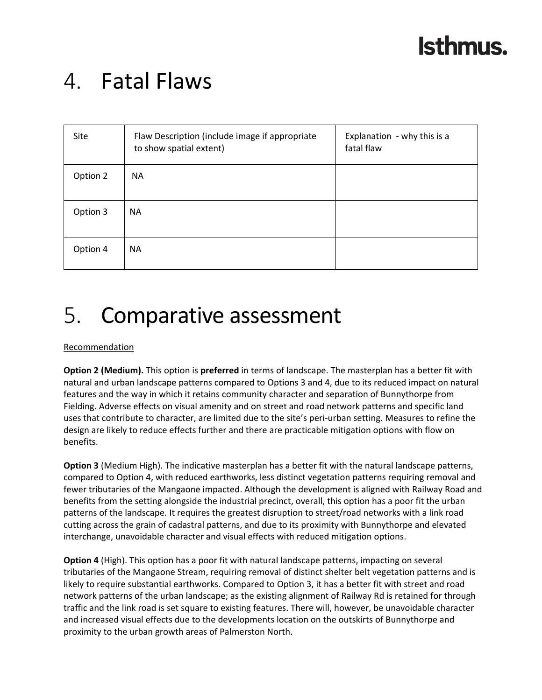### 4. Fatal Flaws

| Site     | Flaw Description (include image if appropriate<br>to show spatial extent) | Explanation - why this is a<br>fatal flaw |
|----------|---------------------------------------------------------------------------|-------------------------------------------|
| Option 2 | <b>NA</b>                                                                 |                                           |
| Option 3 | <b>NA</b>                                                                 |                                           |
| Option 4 | <b>NA</b>                                                                 |                                           |

### 5. Comparative assessment

### **Recommendation**

**Option 2 (Medium).** This option is **preferred** in terms of landscape. The masterplan has a better fit with natural and urban landscape patterns compared to Options 3 and 4, due to its reduced impact on natural features and the way in which it retains community character and separation of Bunnythorpe from Fielding. Adverse effects on visual amenity and on street and road network patterns and specific land uses that contribute to character, are limited due to the site's peri‐urban setting. Measures to refine the design are likely to reduce effects further and there are practicable mitigation options with flow on benefits.

**Option 3** (Medium High). The indicative masterplan has a better fit with the natural landscape patterns, compared to Option 4, with reduced earthworks, less distinct vegetation patterns requiring removal and fewer tributaries of the Mangaone impacted. Although the development is aligned with Railway Road and benefits from the setting alongside the industrial precinct, overall, this option has a poor fit the urban patterns of the landscape. It requires the greatest disruption to street/road networks with a link road cutting across the grain of cadastral patterns, and due to its proximity with Bunnythorpe and elevated interchange, unavoidable character and visual effects with reduced mitigation options.

**Option 4** (High). This option has a poor fit with natural landscape patterns, impacting on several tributaries of the Mangaone Stream, requiring removal of distinct shelter belt vegetation patterns and is likely to require substantial earthworks. Compared to Option 3, it has a better fit with street and road network patterns of the urban landscape; as the existing alignment of Railway Rd is retained for through traffic and the link road is set square to existing features. There will, however, be unavoidable character and increased visual effects due to the developments location on the outskirts of Bunnythorpe and proximity to the urban growth areas of Palmerston North.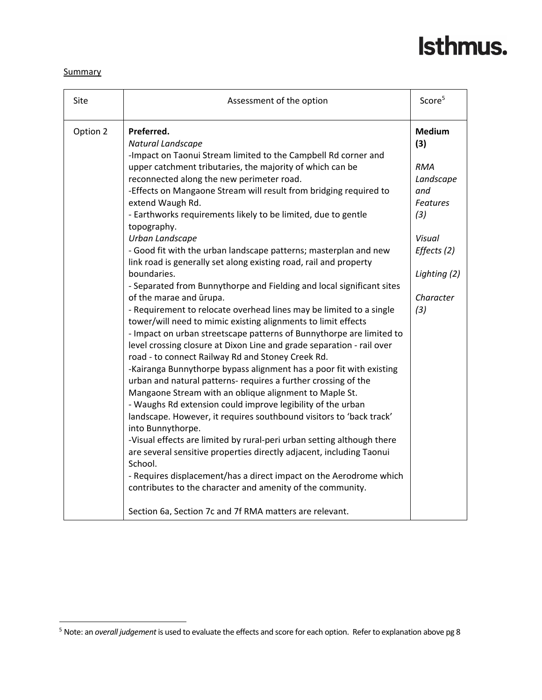### **Summary**

| Site     | Assessment of the option                                                                                                                                                                                                                                                                                                                                                                                                                                                                                                                                                                                                                                                                                                                                                                                                                                                                                                                                                                                                                                                                                                                                                                                                                                                                                                                                                                                                                                                                                                                                                                                                                                                                                                                    | Score <sup>5</sup>                                                                                                                            |
|----------|---------------------------------------------------------------------------------------------------------------------------------------------------------------------------------------------------------------------------------------------------------------------------------------------------------------------------------------------------------------------------------------------------------------------------------------------------------------------------------------------------------------------------------------------------------------------------------------------------------------------------------------------------------------------------------------------------------------------------------------------------------------------------------------------------------------------------------------------------------------------------------------------------------------------------------------------------------------------------------------------------------------------------------------------------------------------------------------------------------------------------------------------------------------------------------------------------------------------------------------------------------------------------------------------------------------------------------------------------------------------------------------------------------------------------------------------------------------------------------------------------------------------------------------------------------------------------------------------------------------------------------------------------------------------------------------------------------------------------------------------|-----------------------------------------------------------------------------------------------------------------------------------------------|
| Option 2 | Preferred.<br>Natural Landscape<br>-Impact on Taonui Stream limited to the Campbell Rd corner and<br>upper catchment tributaries, the majority of which can be<br>reconnected along the new perimeter road.<br>-Effects on Mangaone Stream will result from bridging required to<br>extend Waugh Rd.<br>- Earthworks requirements likely to be limited, due to gentle<br>topography.<br>Urban Landscape<br>- Good fit with the urban landscape patterns; masterplan and new<br>link road is generally set along existing road, rail and property<br>boundaries.<br>- Separated from Bunnythorpe and Fielding and local significant sites<br>of the marae and ūrupa.<br>- Requirement to relocate overhead lines may be limited to a single<br>tower/will need to mimic existing alignments to limit effects<br>- Impact on urban streetscape patterns of Bunnythorpe are limited to<br>level crossing closure at Dixon Line and grade separation - rail over<br>road - to connect Railway Rd and Stoney Creek Rd.<br>-Kairanga Bunnythorpe bypass alignment has a poor fit with existing<br>urban and natural patterns- requires a further crossing of the<br>Mangaone Stream with an oblique alignment to Maple St.<br>- Waughs Rd extension could improve legibility of the urban<br>landscape. However, it requires southbound visitors to 'back track'<br>into Bunnythorpe.<br>-Visual effects are limited by rural-peri urban setting although there<br>are several sensitive properties directly adjacent, including Taonui<br>School.<br>- Requires displacement/has a direct impact on the Aerodrome which<br>contributes to the character and amenity of the community.<br>Section 6a, Section 7c and 7f RMA matters are relevant. | <b>Medium</b><br>(3)<br><b>RMA</b><br>Landscape<br>and<br><b>Features</b><br>(3)<br>Visual<br>Effects (2)<br>Lighting (2)<br>Character<br>(3) |

<sup>5</sup> Note: an *overall judgement* is used to evaluate the effects and score for each option. Referto explanation above pg 8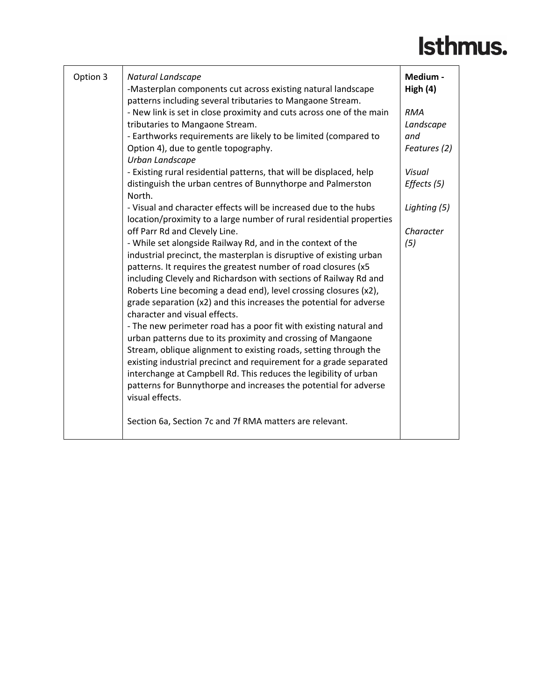| Option 3 | Natural Landscape<br>-Masterplan components cut across existing natural landscape<br>patterns including several tributaries to Mangaone Stream.                                                                               | Medium -<br>High $(4)$  |
|----------|-------------------------------------------------------------------------------------------------------------------------------------------------------------------------------------------------------------------------------|-------------------------|
|          | - New link is set in close proximity and cuts across one of the main<br>tributaries to Mangaone Stream.                                                                                                                       | <b>RMA</b><br>Landscape |
|          | - Earthworks requirements are likely to be limited (compared to<br>Option 4), due to gentle topography.<br>Urban Landscape                                                                                                    | and<br>Features (2)     |
|          | - Existing rural residential patterns, that will be displaced, help<br>distinguish the urban centres of Bunnythorpe and Palmerston                                                                                            | Visual<br>Effects (5)   |
|          | North.<br>- Visual and character effects will be increased due to the hubs<br>location/proximity to a large number of rural residential properties                                                                            | Lighting (5)            |
|          | off Parr Rd and Clevely Line.<br>- While set alongside Railway Rd, and in the context of the                                                                                                                                  | Character<br>(5)        |
|          | industrial precinct, the masterplan is disruptive of existing urban<br>patterns. It requires the greatest number of road closures (x5<br>including Clevely and Richardson with sections of Railway Rd and                     |                         |
|          | Roberts Line becoming a dead end), level crossing closures (x2),<br>grade separation (x2) and this increases the potential for adverse<br>character and visual effects.                                                       |                         |
|          | - The new perimeter road has a poor fit with existing natural and<br>urban patterns due to its proximity and crossing of Mangaone<br>Stream, oblique alignment to existing roads, setting through the                         |                         |
|          | existing industrial precinct and requirement for a grade separated<br>interchange at Campbell Rd. This reduces the legibility of urban<br>patterns for Bunnythorpe and increases the potential for adverse<br>visual effects. |                         |
|          | Section 6a, Section 7c and 7f RMA matters are relevant.                                                                                                                                                                       |                         |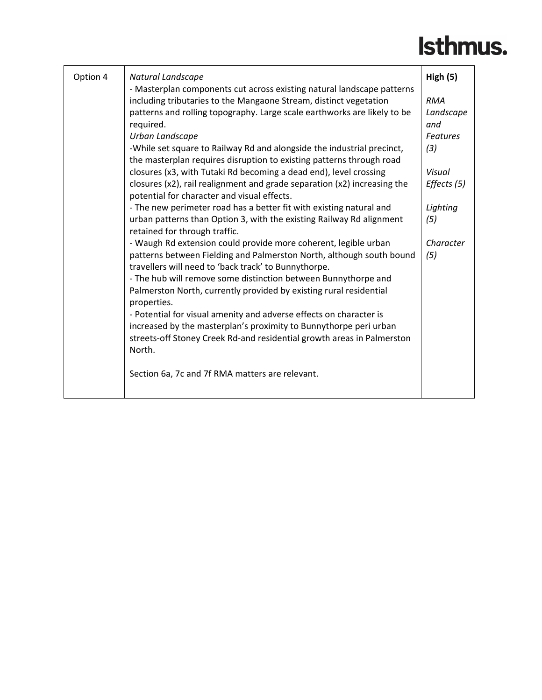| Option 4 | Natural Landscape<br>- Masterplan components cut across existing natural landscape patterns                             | High(5)         |
|----------|-------------------------------------------------------------------------------------------------------------------------|-----------------|
|          | including tributaries to the Mangaone Stream, distinct vegetation                                                       | <b>RMA</b>      |
|          | patterns and rolling topography. Large scale earthworks are likely to be                                                | Landscape       |
|          | required.                                                                                                               | and             |
|          | Urban Landscape                                                                                                         | <b>Features</b> |
|          | -While set square to Railway Rd and alongside the industrial precinct,                                                  | (3)             |
|          | the masterplan requires disruption to existing patterns through road                                                    |                 |
|          | closures (x3, with Tutaki Rd becoming a dead end), level crossing                                                       | Visual          |
|          | closures (x2), rail realignment and grade separation (x2) increasing the<br>potential for character and visual effects. | Effects (5)     |
|          | - The new perimeter road has a better fit with existing natural and                                                     | Lighting        |
|          | urban patterns than Option 3, with the existing Railway Rd alignment<br>retained for through traffic.                   | (5)             |
|          | - Waugh Rd extension could provide more coherent, legible urban                                                         | Character       |
|          | patterns between Fielding and Palmerston North, although south bound                                                    | (5)             |
|          | travellers will need to 'back track' to Bunnythorpe.                                                                    |                 |
|          | - The hub will remove some distinction between Bunnythorpe and                                                          |                 |
|          | Palmerston North, currently provided by existing rural residential<br>properties.                                       |                 |
|          | - Potential for visual amenity and adverse effects on character is                                                      |                 |
|          | increased by the masterplan's proximity to Bunnythorpe peri urban                                                       |                 |
|          | streets-off Stoney Creek Rd-and residential growth areas in Palmerston                                                  |                 |
|          | North.                                                                                                                  |                 |
|          | Section 6a, 7c and 7f RMA matters are relevant.                                                                         |                 |